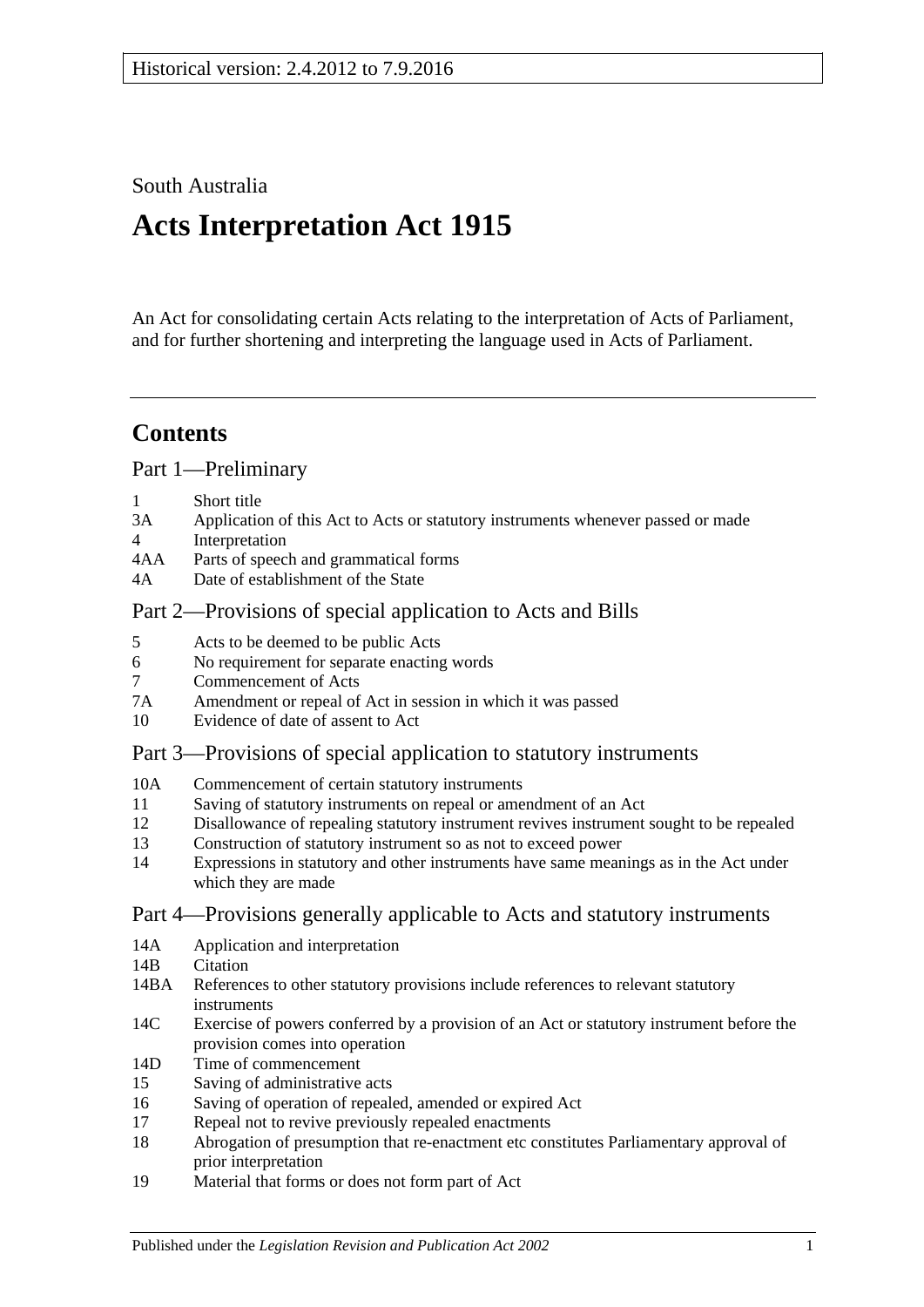South Australia

# **Acts Interpretation Act 1915**

An Act for consolidating certain Acts relating to the interpretation of Acts of Parliament, and for further shortening and interpreting the language used in Acts of Parliament.

# **Contents**

[Part 1—Preliminary](#page-1-0)

- 1 [Short title](#page-1-1)
- 3A [Application of this Act to Acts or statutory instruments whenever passed or made](#page-1-2)
- 4 [Interpretation](#page-2-0)
- 4AA [Parts of speech and grammatical forms](#page-6-0)
- 4A [Date of establishment of the State](#page-6-1)

# [Part 2—Provisions of special application to Acts and Bills](#page-6-2)

- 5 [Acts to be deemed to be public Acts](#page-6-3)
- 6 [No requirement for separate enacting words](#page-7-0)
- 7 [Commencement of Acts](#page-7-1)
- 7A [Amendment or repeal of Act in session in which it was passed](#page-7-2)
- 10 [Evidence of date of assent to Act](#page-7-3)

# [Part 3—Provisions of special application to statutory instruments](#page-8-0)

- 10A [Commencement of certain statutory instruments](#page-8-1)
- 11 [Saving of statutory instruments on repeal or amendment of an Act](#page-8-2)
- 12 [Disallowance of repealing statutory instrument revives instrument sought to](#page-8-3) be repealed
- 13 [Construction of statutory instrument so as not to exceed power](#page-8-4)
- 14 [Expressions in statutory and other instruments have same meanings as in the Act under](#page-8-5)  [which they are made](#page-8-5)

# [Part 4—Provisions generally applicable to Acts and statutory instruments](#page-9-0)

- 14A [Application and interpretation](#page-9-1)
- 14R [Citation](#page-9-2)
- 14BA [References to other statutory provisions include references to relevant statutory](#page-10-0)  [instruments](#page-10-0)
- 14C [Exercise of powers conferred by a provision of an Act or statutory instrument before the](#page-10-1)  [provision comes into operation](#page-10-1)
- 14D [Time of commencement](#page-10-2)
- 15 [Saving of administrative acts](#page-10-3)
- 16 [Saving of operation of repealed, amended or expired Act](#page-11-0)
- 17 [Repeal not to revive previously repealed enactments](#page-11-1)
- 18 [Abrogation of presumption that re-enactment etc constitutes Parliamentary approval of](#page-11-2)  [prior interpretation](#page-11-2)
- 19 [Material that forms or does not form part of Act](#page-12-0)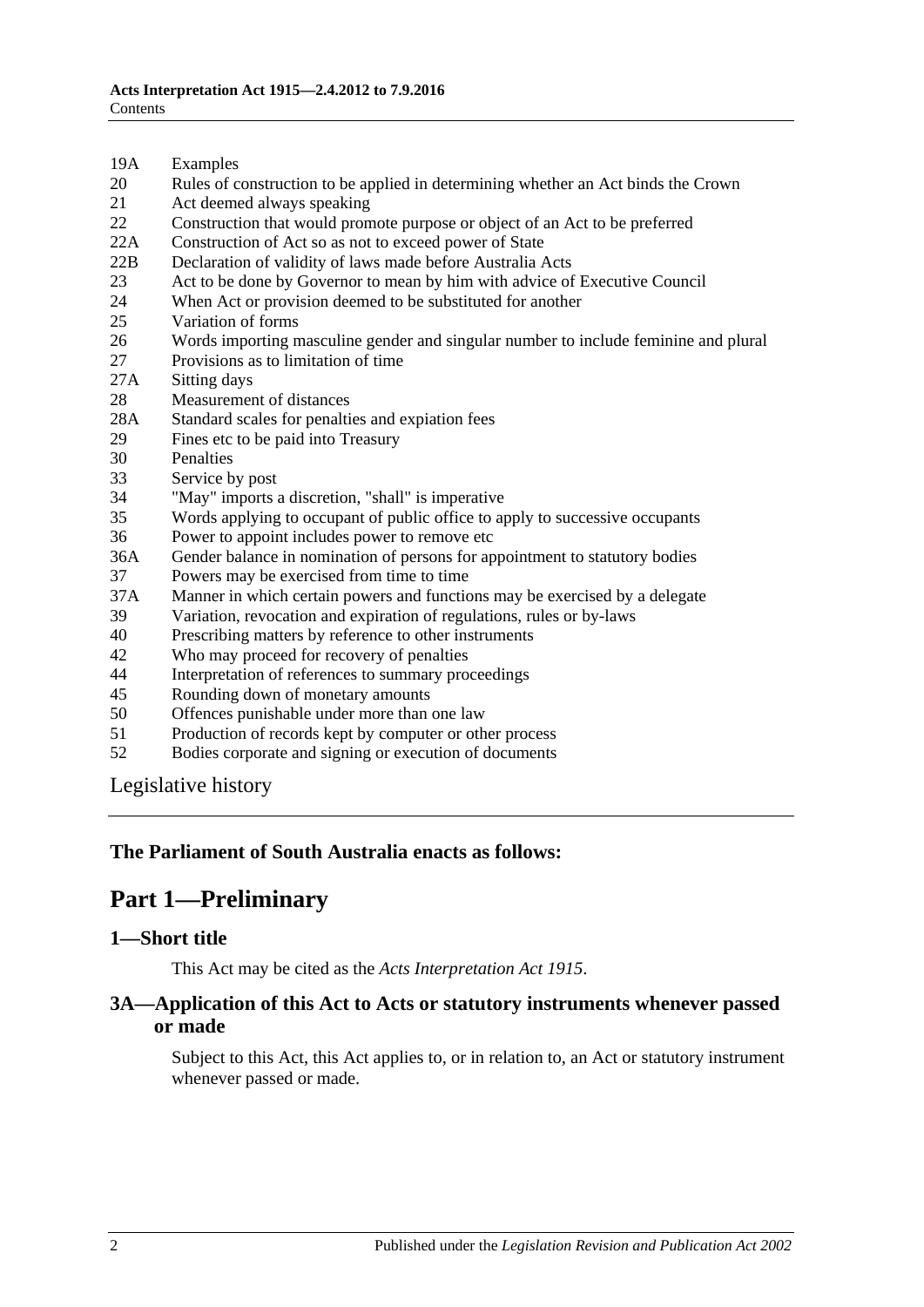- 19A [Examples](#page-12-1)
- 20 [Rules of construction to be applied in determining whether an Act binds the Crown](#page-12-2)
- 21 [Act deemed always speaking](#page-13-0)
- 22 [Construction that would promote purpose or object of an Act to be preferred](#page-13-1)
- 22A [Construction of Act so as not to exceed power of State](#page-13-2)
- 22B [Declaration of validity of laws made before Australia Acts](#page-13-3)
- 23 [Act to be done by Governor to mean by him with advice of Executive Council](#page-14-0)
- 24 [When Act or provision deemed to be substituted for another](#page-14-1)<br>25 Variation of forms
- [Variation of forms](#page-14-2)
- 26 [Words importing masculine gender and singular number to include feminine and plural](#page-14-3)
- 27 [Provisions as to limitation of time](#page-14-4)
- 27A [Sitting days](#page-15-0)
- 28 [Measurement of distances](#page-15-1)
- 28A [Standard scales for penalties and expiation fees](#page-15-2)
- 29 [Fines etc to be paid into Treasury](#page-16-0)
- 30 [Penalties](#page-16-1)<br>33 Service b
- [Service by post](#page-16-2)
- 34 ["May" imports a discretion, "shall" is imperative](#page-17-0)
- 35 [Words applying to occupant of public office to apply to successive occupants](#page-17-1)
- 36 [Power to appoint includes power to remove etc](#page-17-2)
- 36A [Gender balance in nomination of persons for appointment to statutory bodies](#page-17-3)
- 37 [Powers may be exercised from time to time](#page-18-0)
- 37A [Manner in which certain powers and functions may be exercised by a delegate](#page-18-1)
- 39 [Variation, revocation and expiration of regulations, rules or by-laws](#page-18-2)
- 40 [Prescribing matters by reference to other instruments](#page-18-3)
- 42 [Who may proceed for recovery of penalties](#page-19-0)
- 44 [Interpretation of references to summary proceedings](#page-19-1)
- 45 [Rounding down of monetary amounts](#page-19-2)
- 50 [Offences punishable under more than one law](#page-19-3)
- 51 [Production of records kept by computer or other process](#page-19-4)
- 52 [Bodies corporate and signing or execution of documents](#page-20-0)

[Legislative history](#page-21-0)

#### <span id="page-1-0"></span>**The Parliament of South Australia enacts as follows:**

# **Part 1—Preliminary**

#### <span id="page-1-1"></span>**1—Short title**

This Act may be cited as the *Acts Interpretation Act 1915*.

#### <span id="page-1-2"></span>**3A—Application of this Act to Acts or statutory instruments whenever passed or made**

Subject to this Act, this Act applies to, or in relation to, an Act or statutory instrument whenever passed or made.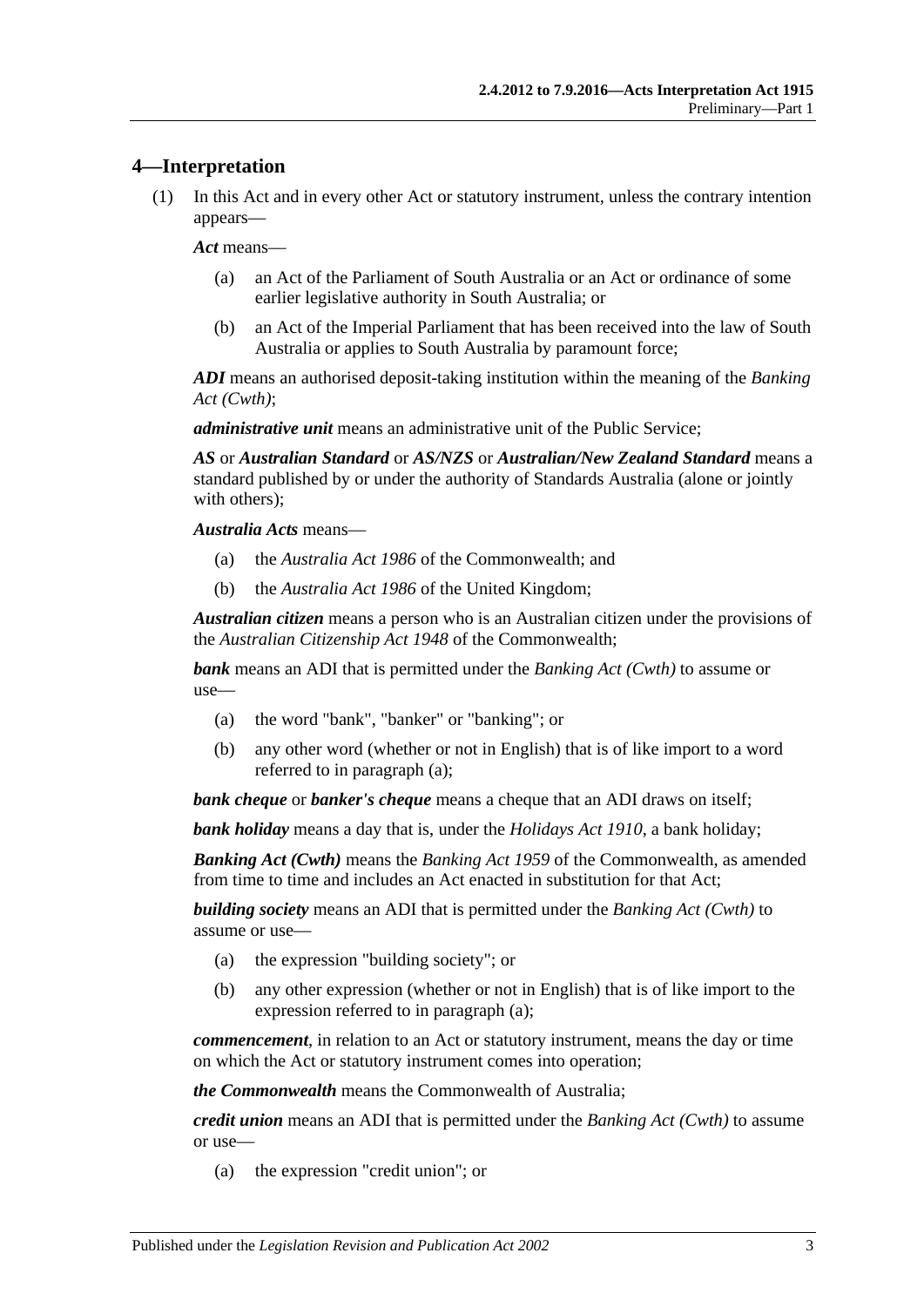#### <span id="page-2-0"></span>**4—Interpretation**

(1) In this Act and in every other Act or statutory instrument, unless the contrary intention appears—

*Act* means—

- (a) an Act of the Parliament of South Australia or an Act or ordinance of some earlier legislative authority in South Australia; or
- (b) an Act of the Imperial Parliament that has been received into the law of South Australia or applies to South Australia by paramount force;

*ADI* means an authorised deposit-taking institution within the meaning of the *Banking Act (Cwth)*;

*administrative unit* means an administrative unit of the Public Service;

*AS* or *Australian Standard* or *AS/NZS* or *Australian/New Zealand Standard* means a standard published by or under the authority of Standards Australia (alone or jointly with others);

*Australia Acts* means—

- (a) the *Australia Act 1986* of the Commonwealth; and
- (b) the *Australia Act 1986* of the United Kingdom;

*Australian citizen* means a person who is an Australian citizen under the provisions of the *Australian Citizenship Act 1948* of the Commonwealth;

<span id="page-2-1"></span>*bank* means an ADI that is permitted under the *Banking Act (Cwth)* to assume or use—

- (a) the word "bank", "banker" or "banking"; or
- (b) any other word (whether or not in English) that is of like import to a word referred to in [paragraph](#page-2-1) (a);

*bank cheque* or *banker's cheque* means a cheque that an ADI draws on itself;

*bank holiday* means a day that is, under the *[Holidays Act](http://www.legislation.sa.gov.au/index.aspx?action=legref&type=act&legtitle=Holidays%20Act%201910) 1910*, a bank holiday;

*Banking Act (Cwth)* means the *Banking Act 1959* of the Commonwealth, as amended from time to time and includes an Act enacted in substitution for that Act;

<span id="page-2-2"></span>*building society* means an ADI that is permitted under the *Banking Act (Cwth)* to assume or use—

- (a) the expression "building society"; or
- (b) any other expression (whether or not in English) that is of like import to the expression referred to in [paragraph](#page-2-2) (a);

*commencement*, in relation to an Act or statutory instrument, means the day or time on which the Act or statutory instrument comes into operation;

*the Commonwealth* means the Commonwealth of Australia;

<span id="page-2-3"></span>*credit union* means an ADI that is permitted under the *Banking Act (Cwth)* to assume or use—

(a) the expression "credit union"; or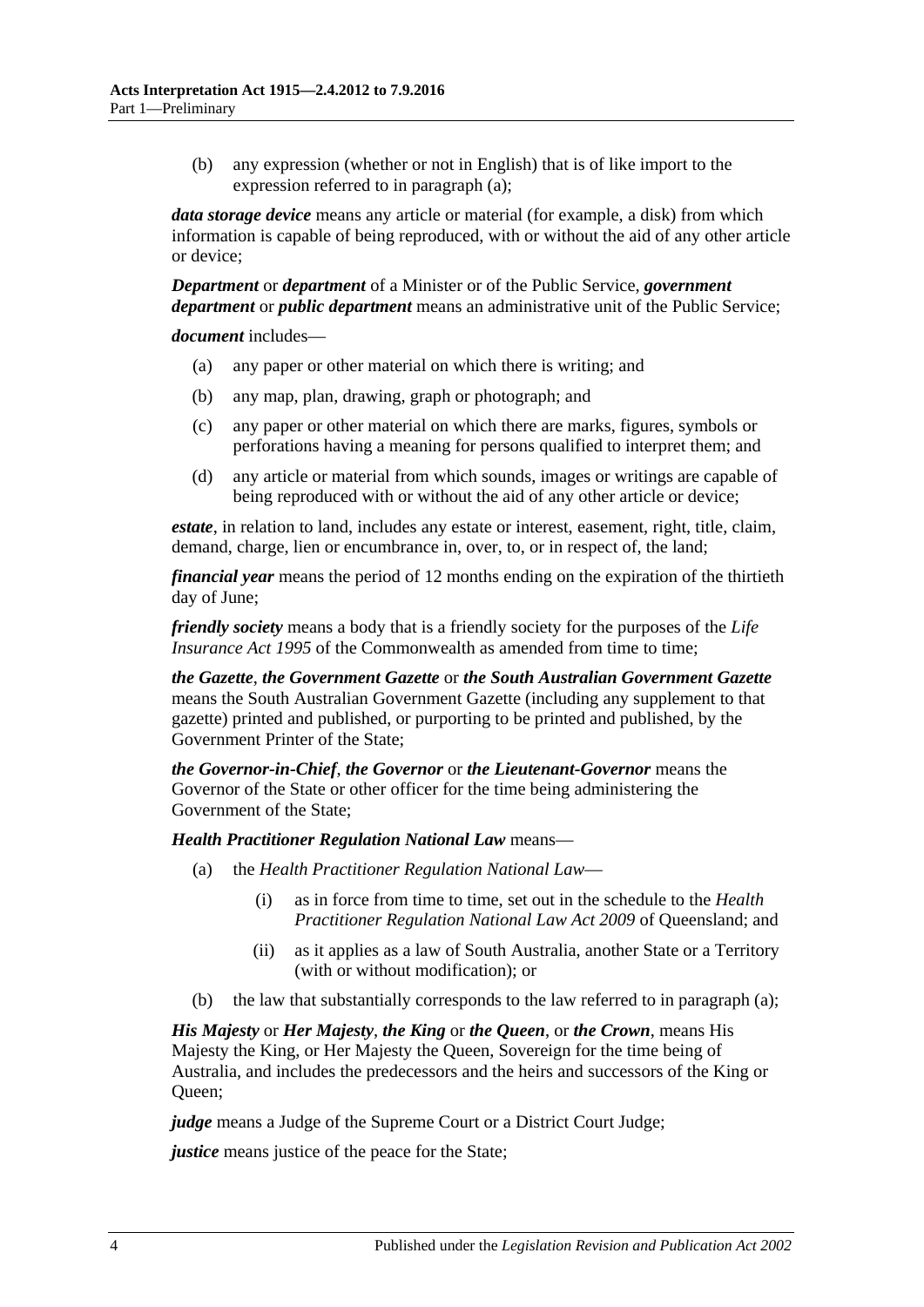(b) any expression (whether or not in English) that is of like import to the expression referred to in [paragraph](#page-2-3) (a);

*data storage device* means any article or material (for example, a disk) from which information is capable of being reproduced, with or without the aid of any other article or device;

*Department* or *department* of a Minister or of the Public Service, *government department* or *public department* means an administrative unit of the Public Service;

*document* includes—

- (a) any paper or other material on which there is writing; and
- (b) any map, plan, drawing, graph or photograph; and
- (c) any paper or other material on which there are marks, figures, symbols or perforations having a meaning for persons qualified to interpret them; and
- (d) any article or material from which sounds, images or writings are capable of being reproduced with or without the aid of any other article or device;

*estate*, in relation to land, includes any estate or interest, easement, right, title, claim, demand, charge, lien or encumbrance in, over, to, or in respect of, the land;

*financial year* means the period of 12 months ending on the expiration of the thirtieth day of June;

*friendly society* means a body that is a friendly society for the purposes of the *Life Insurance Act* 1995 of the Commonwealth as amended from time to time:

*the Gazette*, *the Government Gazette* or *the South Australian Government Gazette* means the South Australian Government Gazette (including any supplement to that gazette) printed and published, or purporting to be printed and published, by the Government Printer of the State;

*the Governor-in-Chief*, *the Governor* or *the Lieutenant-Governor* means the Governor of the State or other officer for the time being administering the Government of the State;

<span id="page-3-0"></span>*Health Practitioner Regulation National Law* means—

- (a) the *Health Practitioner Regulation National Law*
	- (i) as in force from time to time, set out in the schedule to the *Health Practitioner Regulation National Law Act 2009* of Queensland; and
	- (ii) as it applies as a law of South Australia, another State or a Territory (with or without modification); or
- (b) the law that substantially corresponds to the law referred to in [paragraph](#page-3-0) (a);

*His Majesty* or *Her Majesty*, *the King* or *the Queen*, or *the Crown*, means His Majesty the King, or Her Majesty the Queen, Sovereign for the time being of Australia, and includes the predecessors and the heirs and successors of the King or Queen;

*judge* means a Judge of the Supreme Court or a District Court Judge;

*justice* means justice of the peace for the State;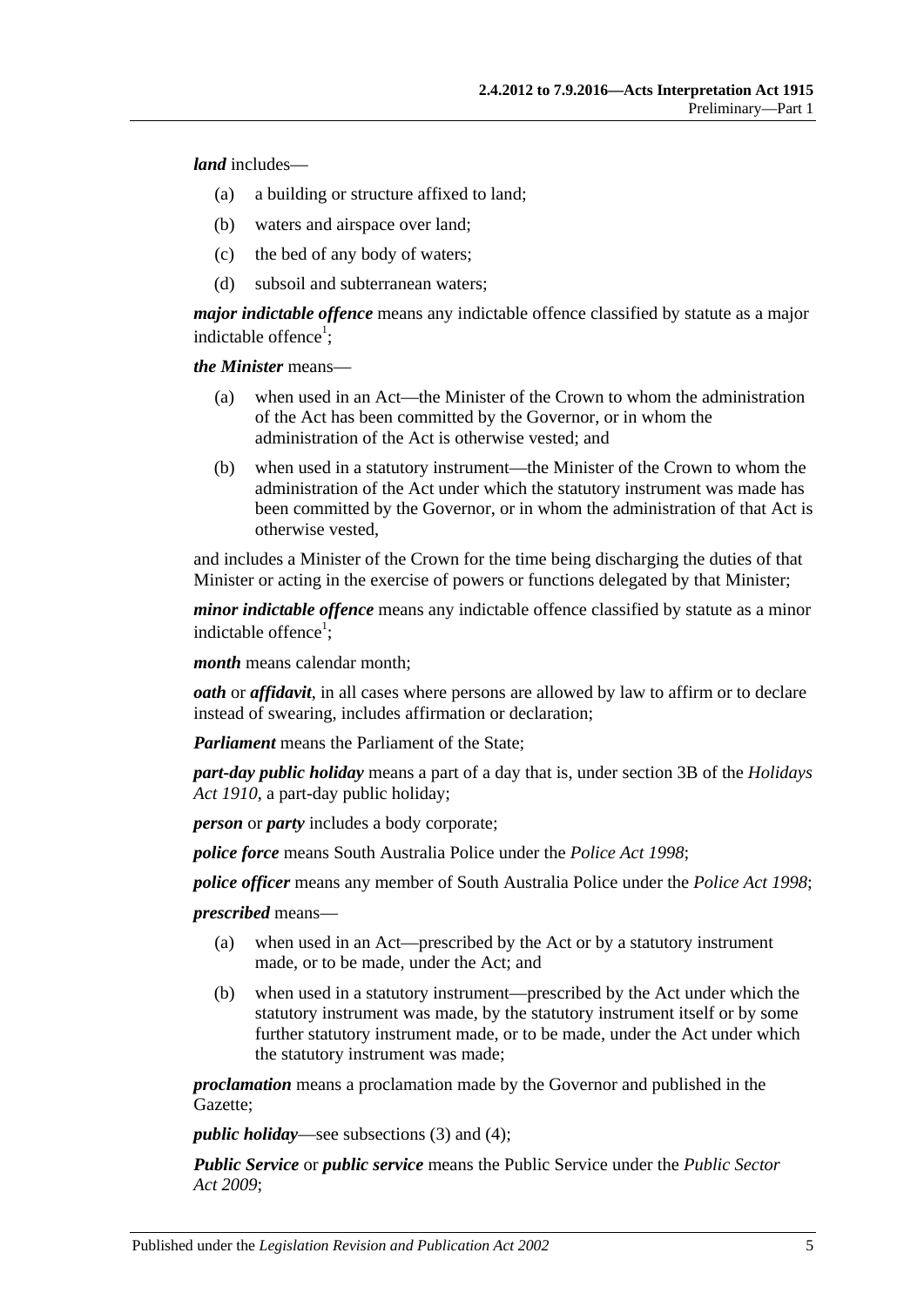*land* includes—

- (a) a building or structure affixed to land;
- (b) waters and airspace over land;
- (c) the bed of any body of waters;
- (d) subsoil and subterranean waters;

*major indictable offence* means any indictable offence classified by statute as a major indictable offence<sup>1</sup>;

*the Minister* means—

- (a) when used in an Act—the Minister of the Crown to whom the administration of the Act has been committed by the Governor, or in whom the administration of the Act is otherwise vested; and
- (b) when used in a statutory instrument—the Minister of the Crown to whom the administration of the Act under which the statutory instrument was made has been committed by the Governor, or in whom the administration of that Act is otherwise vested,

and includes a Minister of the Crown for the time being discharging the duties of that Minister or acting in the exercise of powers or functions delegated by that Minister;

*minor indictable offence* means any indictable offence classified by statute as a minor indictable offence<sup>1</sup>;

*month* means calendar month;

*oath* or *affidavit*, in all cases where persons are allowed by law to affirm or to declare instead of swearing, includes affirmation or declaration;

*Parliament* means the Parliament of the State;

*part-day public holiday* means a part of a day that is, under section 3B of the *[Holidays](http://www.legislation.sa.gov.au/index.aspx?action=legref&type=act&legtitle=Holidays%20Act%201910)  Act [1910](http://www.legislation.sa.gov.au/index.aspx?action=legref&type=act&legtitle=Holidays%20Act%201910)*, a part-day public holiday;

*person* or *party* includes a body corporate;

*police force* means South Australia Police under the *[Police Act](http://www.legislation.sa.gov.au/index.aspx?action=legref&type=act&legtitle=Police%20Act%201998) 1998*;

*police officer* means any member of South Australia Police under the *[Police Act](http://www.legislation.sa.gov.au/index.aspx?action=legref&type=act&legtitle=Police%20Act%201998) 1998*;

*prescribed* means—

- (a) when used in an Act—prescribed by the Act or by a statutory instrument made, or to be made, under the Act; and
- (b) when used in a statutory instrument—prescribed by the Act under which the statutory instrument was made, by the statutory instrument itself or by some further statutory instrument made, or to be made, under the Act under which the statutory instrument was made;

*proclamation* means a proclamation made by the Governor and published in the Gazette;

*public holiday*—see [subsections](#page-6-4) (3) and [\(4\);](#page-6-5)

*Public Service* or *public service* means the Public Service under the *[Public Sector](http://www.legislation.sa.gov.au/index.aspx?action=legref&type=act&legtitle=Public%20Sector%20Act%202009)  Act [2009](http://www.legislation.sa.gov.au/index.aspx?action=legref&type=act&legtitle=Public%20Sector%20Act%202009)*;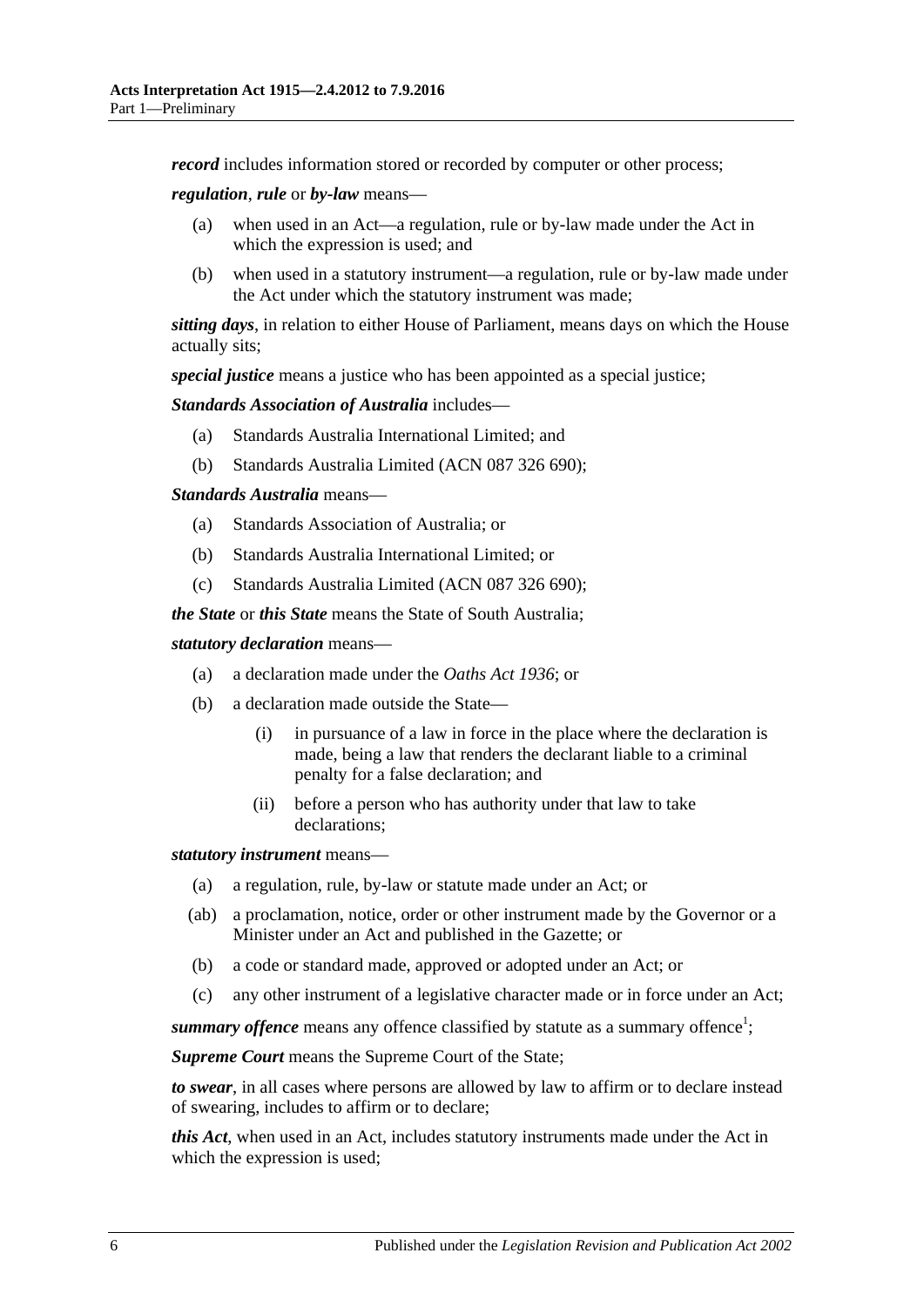*record* includes information stored or recorded by computer or other process;

*regulation*, *rule* or *by-law* means—

- (a) when used in an Act—a regulation, rule or by-law made under the Act in which the expression is used; and
- (b) when used in a statutory instrument—a regulation, rule or by-law made under the Act under which the statutory instrument was made;

*sitting days*, in relation to either House of Parliament, means days on which the House actually sits;

*special justice* means a justice who has been appointed as a special justice;

*Standards Association of Australia* includes—

- (a) Standards Australia International Limited; and
- (b) Standards Australia Limited (ACN 087 326 690);

*Standards Australia* means—

- (a) Standards Association of Australia; or
- (b) Standards Australia International Limited; or
- (c) Standards Australia Limited (ACN 087 326 690);

*the State* or *this State* means the State of South Australia;

*statutory declaration* means—

- (a) a declaration made under the *[Oaths Act](http://www.legislation.sa.gov.au/index.aspx?action=legref&type=act&legtitle=Oaths%20Act%201936) 1936*; or
- (b) a declaration made outside the State—
	- (i) in pursuance of a law in force in the place where the declaration is made, being a law that renders the declarant liable to a criminal penalty for a false declaration; and
	- (ii) before a person who has authority under that law to take declarations;

*statutory instrument* means—

- (a) a regulation, rule, by-law or statute made under an Act; or
- (ab) a proclamation, notice, order or other instrument made by the Governor or a Minister under an Act and published in the Gazette; or
- (b) a code or standard made, approved or adopted under an Act; or
- (c) any other instrument of a legislative character made or in force under an Act;

summary offence means any offence classified by statute as a summary offence<sup>1</sup>;

*Supreme Court* means the Supreme Court of the State;

*to swear*, in all cases where persons are allowed by law to affirm or to declare instead of swearing, includes to affirm or to declare;

*this Act*, when used in an Act, includes statutory instruments made under the Act in which the expression is used;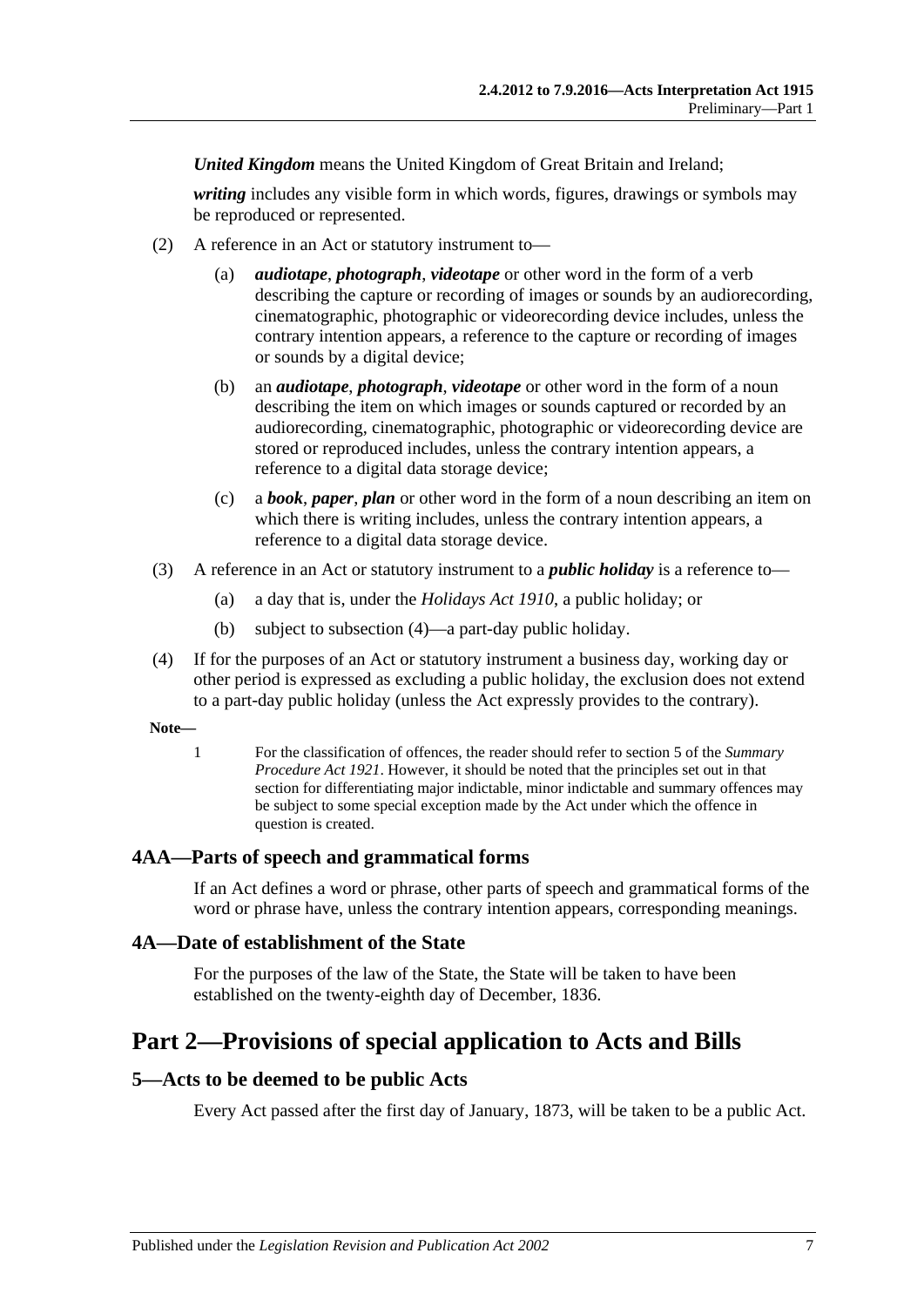*United Kingdom* means the United Kingdom of Great Britain and Ireland;

*writing* includes any visible form in which words, figures, drawings or symbols may be reproduced or represented.

- (2) A reference in an Act or statutory instrument to—
	- (a) *audiotape*, *photograph*, *videotape* or other word in the form of a verb describing the capture or recording of images or sounds by an audiorecording, cinematographic, photographic or videorecording device includes, unless the contrary intention appears, a reference to the capture or recording of images or sounds by a digital device;
	- (b) an *audiotape*, *photograph*, *videotape* or other word in the form of a noun describing the item on which images or sounds captured or recorded by an audiorecording, cinematographic, photographic or videorecording device are stored or reproduced includes, unless the contrary intention appears, a reference to a digital data storage device;
	- (c) a *book*, *paper*, *plan* or other word in the form of a noun describing an item on which there is writing includes, unless the contrary intention appears, a reference to a digital data storage device.
- <span id="page-6-4"></span>(3) A reference in an Act or statutory instrument to a *public holiday* is a reference to—
	- (a) a day that is, under the *[Holidays Act](http://www.legislation.sa.gov.au/index.aspx?action=legref&type=act&legtitle=Holidays%20Act%201910) 1910*, a public holiday; or
	- (b) subject to [subsection](#page-6-5) (4)—a part-day public holiday.
- <span id="page-6-5"></span>(4) If for the purposes of an Act or statutory instrument a business day, working day or other period is expressed as excluding a public holiday, the exclusion does not extend to a part-day public holiday (unless the Act expressly provides to the contrary).

**Note—**

1 For the classification of offences, the reader should refer to section 5 of the *[Summary](http://www.legislation.sa.gov.au/index.aspx?action=legref&type=act&legtitle=Summary%20Procedure%20Act%201921)  [Procedure Act](http://www.legislation.sa.gov.au/index.aspx?action=legref&type=act&legtitle=Summary%20Procedure%20Act%201921) 1921*. However, it should be noted that the principles set out in that section for differentiating major indictable, minor indictable and summary offences may be subject to some special exception made by the Act under which the offence in question is created.

# <span id="page-6-0"></span>**4AA—Parts of speech and grammatical forms**

If an Act defines a word or phrase, other parts of speech and grammatical forms of the word or phrase have, unless the contrary intention appears, corresponding meanings.

#### <span id="page-6-1"></span>**4A—Date of establishment of the State**

For the purposes of the law of the State, the State will be taken to have been established on the twenty-eighth day of December, 1836.

# <span id="page-6-2"></span>**Part 2—Provisions of special application to Acts and Bills**

#### <span id="page-6-3"></span>**5—Acts to be deemed to be public Acts**

Every Act passed after the first day of January, 1873, will be taken to be a public Act.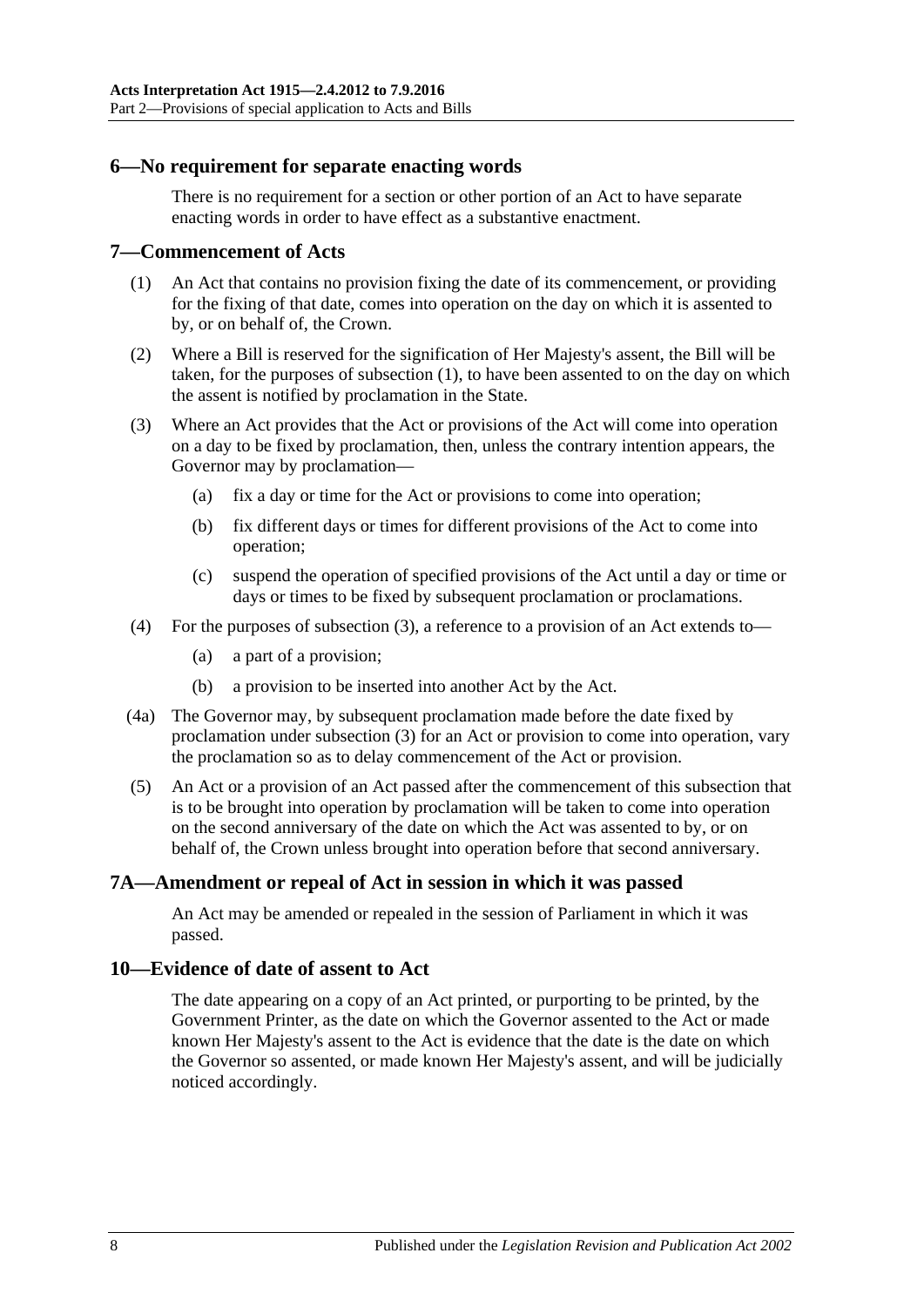#### <span id="page-7-0"></span>**6—No requirement for separate enacting words**

There is no requirement for a section or other portion of an Act to have separate enacting words in order to have effect as a substantive enactment.

#### <span id="page-7-4"></span><span id="page-7-1"></span>**7—Commencement of Acts**

- (1) An Act that contains no provision fixing the date of its commencement, or providing for the fixing of that date, comes into operation on the day on which it is assented to by, or on behalf of, the Crown.
- (2) Where a Bill is reserved for the signification of Her Majesty's assent, the Bill will be taken, for the purposes of [subsection](#page-7-4) (1), to have been assented to on the day on which the assent is notified by proclamation in the State.
- <span id="page-7-5"></span>(3) Where an Act provides that the Act or provisions of the Act will come into operation on a day to be fixed by proclamation, then, unless the contrary intention appears, the Governor may by proclamation—
	- (a) fix a day or time for the Act or provisions to come into operation;
	- (b) fix different days or times for different provisions of the Act to come into operation;
	- (c) suspend the operation of specified provisions of the Act until a day or time or days or times to be fixed by subsequent proclamation or proclamations.
- (4) For the purposes of [subsection](#page-7-5) (3), a reference to a provision of an Act extends to—
	- (a) a part of a provision;
	- (b) a provision to be inserted into another Act by the Act.
- (4a) The Governor may, by subsequent proclamation made before the date fixed by proclamation under [subsection](#page-7-5) (3) for an Act or provision to come into operation, vary the proclamation so as to delay commencement of the Act or provision.
- (5) An Act or a provision of an Act passed after the commencement of this subsection that is to be brought into operation by proclamation will be taken to come into operation on the second anniversary of the date on which the Act was assented to by, or on behalf of, the Crown unless brought into operation before that second anniversary.

#### <span id="page-7-2"></span>**7A—Amendment or repeal of Act in session in which it was passed**

An Act may be amended or repealed in the session of Parliament in which it was passed.

#### <span id="page-7-3"></span>**10—Evidence of date of assent to Act**

The date appearing on a copy of an Act printed, or purporting to be printed, by the Government Printer, as the date on which the Governor assented to the Act or made known Her Majesty's assent to the Act is evidence that the date is the date on which the Governor so assented, or made known Her Majesty's assent, and will be judicially noticed accordingly.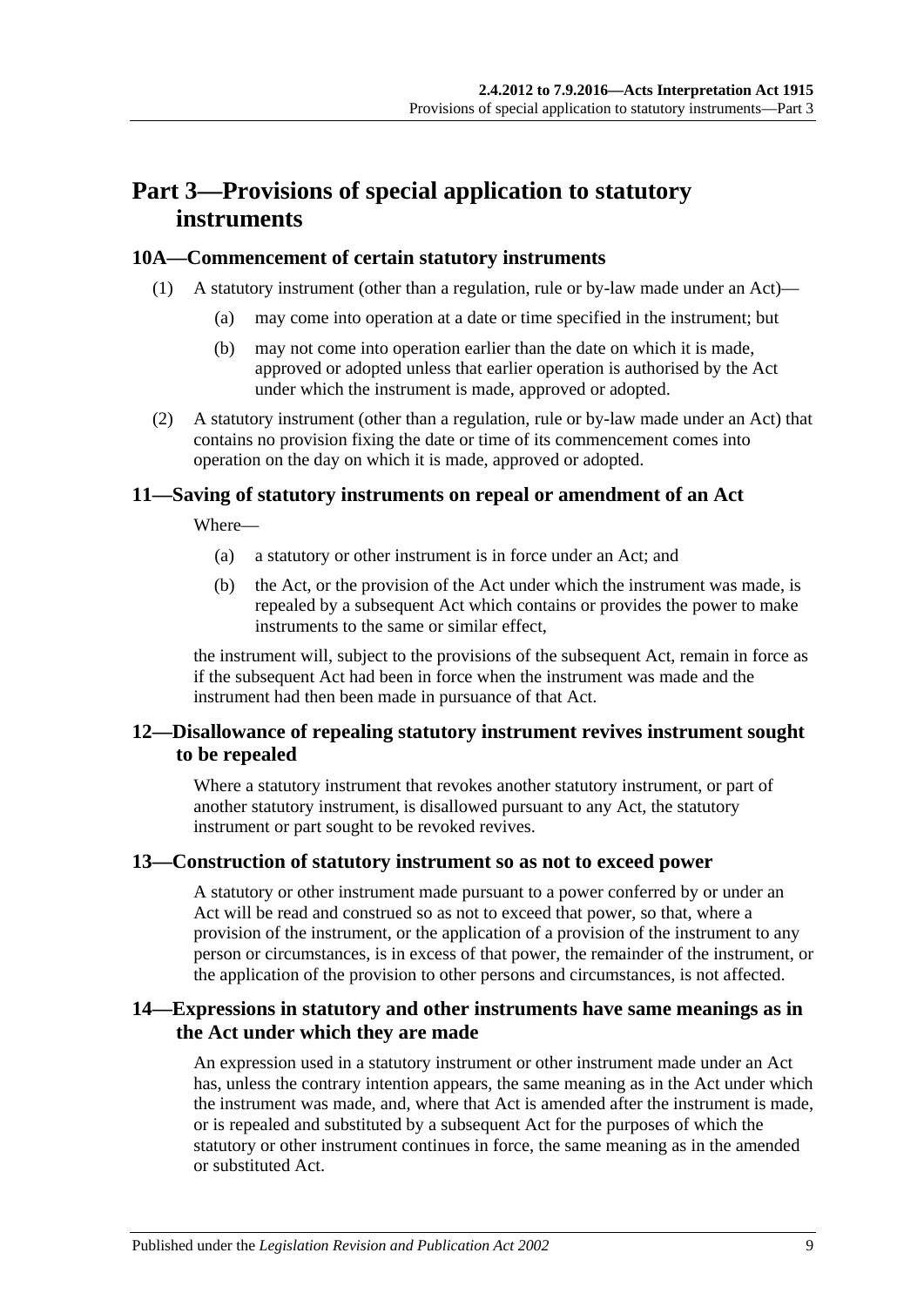# <span id="page-8-0"></span>**Part 3—Provisions of special application to statutory instruments**

#### <span id="page-8-1"></span>**10A—Commencement of certain statutory instruments**

- (1) A statutory instrument (other than a regulation, rule or by-law made under an Act)—
	- (a) may come into operation at a date or time specified in the instrument; but
	- (b) may not come into operation earlier than the date on which it is made, approved or adopted unless that earlier operation is authorised by the Act under which the instrument is made, approved or adopted.
- (2) A statutory instrument (other than a regulation, rule or by-law made under an Act) that contains no provision fixing the date or time of its commencement comes into operation on the day on which it is made, approved or adopted.

#### <span id="page-8-2"></span>**11—Saving of statutory instruments on repeal or amendment of an Act**

Where—

- (a) a statutory or other instrument is in force under an Act; and
- (b) the Act, or the provision of the Act under which the instrument was made, is repealed by a subsequent Act which contains or provides the power to make instruments to the same or similar effect,

the instrument will, subject to the provisions of the subsequent Act, remain in force as if the subsequent Act had been in force when the instrument was made and the instrument had then been made in pursuance of that Act.

### <span id="page-8-3"></span>**12—Disallowance of repealing statutory instrument revives instrument sought to be repealed**

Where a statutory instrument that revokes another statutory instrument, or part of another statutory instrument, is disallowed pursuant to any Act, the statutory instrument or part sought to be revoked revives.

#### <span id="page-8-4"></span>**13—Construction of statutory instrument so as not to exceed power**

A statutory or other instrument made pursuant to a power conferred by or under an Act will be read and construed so as not to exceed that power, so that, where a provision of the instrument, or the application of a provision of the instrument to any person or circumstances, is in excess of that power, the remainder of the instrument, or the application of the provision to other persons and circumstances, is not affected.

#### <span id="page-8-5"></span>**14—Expressions in statutory and other instruments have same meanings as in the Act under which they are made**

An expression used in a statutory instrument or other instrument made under an Act has, unless the contrary intention appears, the same meaning as in the Act under which the instrument was made, and, where that Act is amended after the instrument is made, or is repealed and substituted by a subsequent Act for the purposes of which the statutory or other instrument continues in force, the same meaning as in the amended or substituted Act.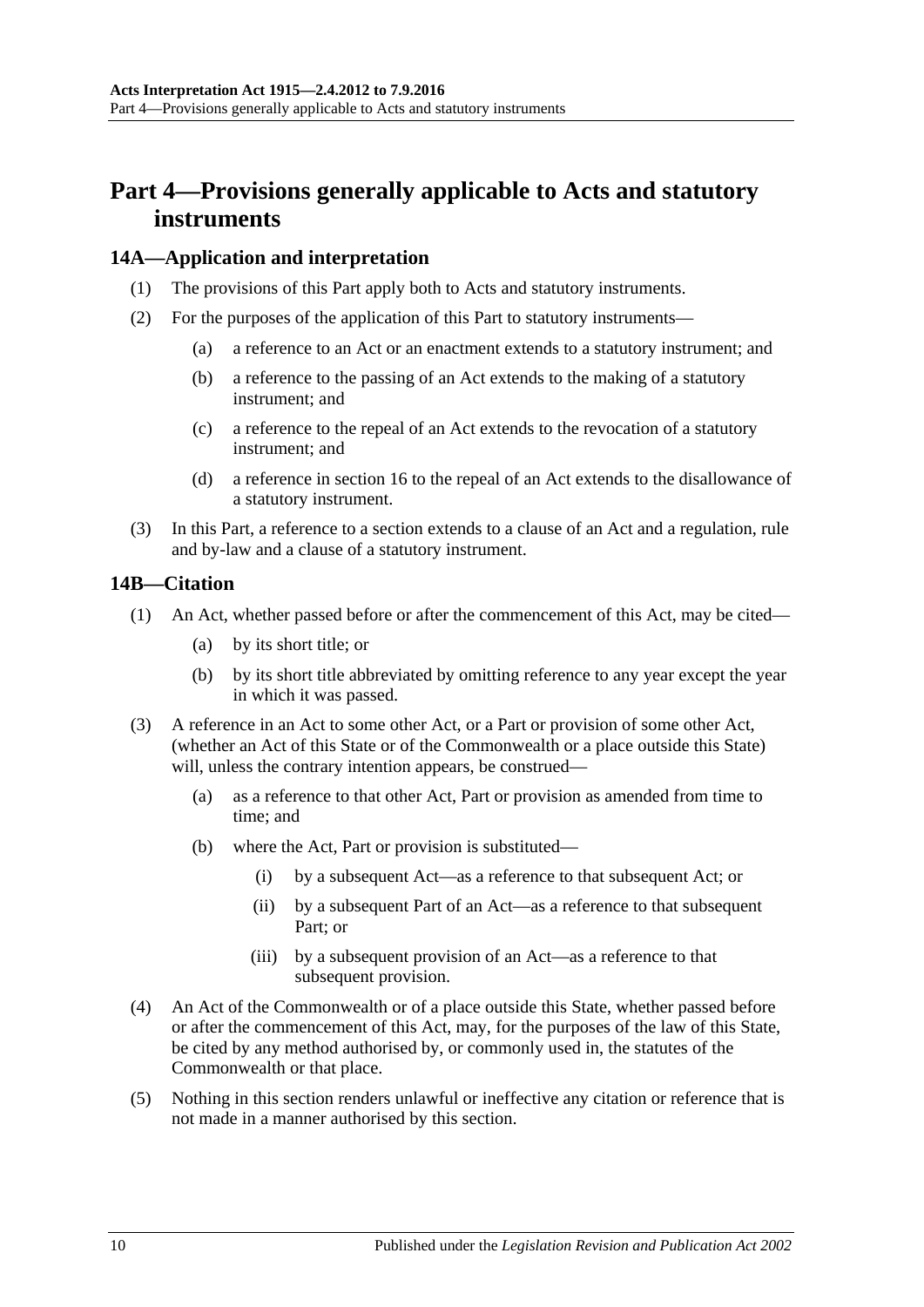# <span id="page-9-0"></span>**Part 4—Provisions generally applicable to Acts and statutory instruments**

#### <span id="page-9-1"></span>**14A—Application and interpretation**

- (1) The provisions of this Part apply both to Acts and statutory instruments.
- (2) For the purposes of the application of this Part to statutory instruments—
	- (a) a reference to an Act or an enactment extends to a statutory instrument; and
	- (b) a reference to the passing of an Act extends to the making of a statutory instrument; and
	- (c) a reference to the repeal of an Act extends to the revocation of a statutory instrument; and
	- (d) a reference in [section](#page-11-0) 16 to the repeal of an Act extends to the disallowance of a statutory instrument.
- (3) In this Part, a reference to a section extends to a clause of an Act and a regulation, rule and by-law and a clause of a statutory instrument.

#### <span id="page-9-2"></span>**14B—Citation**

- (1) An Act, whether passed before or after the commencement of this Act, may be cited—
	- (a) by its short title; or
	- (b) by its short title abbreviated by omitting reference to any year except the year in which it was passed.
- (3) A reference in an Act to some other Act, or a Part or provision of some other Act, (whether an Act of this State or of the Commonwealth or a place outside this State) will, unless the contrary intention appears, be construed—
	- (a) as a reference to that other Act, Part or provision as amended from time to time; and
	- (b) where the Act, Part or provision is substituted—
		- (i) by a subsequent Act—as a reference to that subsequent Act; or
		- (ii) by a subsequent Part of an Act—as a reference to that subsequent Part; or
		- (iii) by a subsequent provision of an Act—as a reference to that subsequent provision.
- (4) An Act of the Commonwealth or of a place outside this State, whether passed before or after the commencement of this Act, may, for the purposes of the law of this State, be cited by any method authorised by, or commonly used in, the statutes of the Commonwealth or that place.
- (5) Nothing in this section renders unlawful or ineffective any citation or reference that is not made in a manner authorised by this section.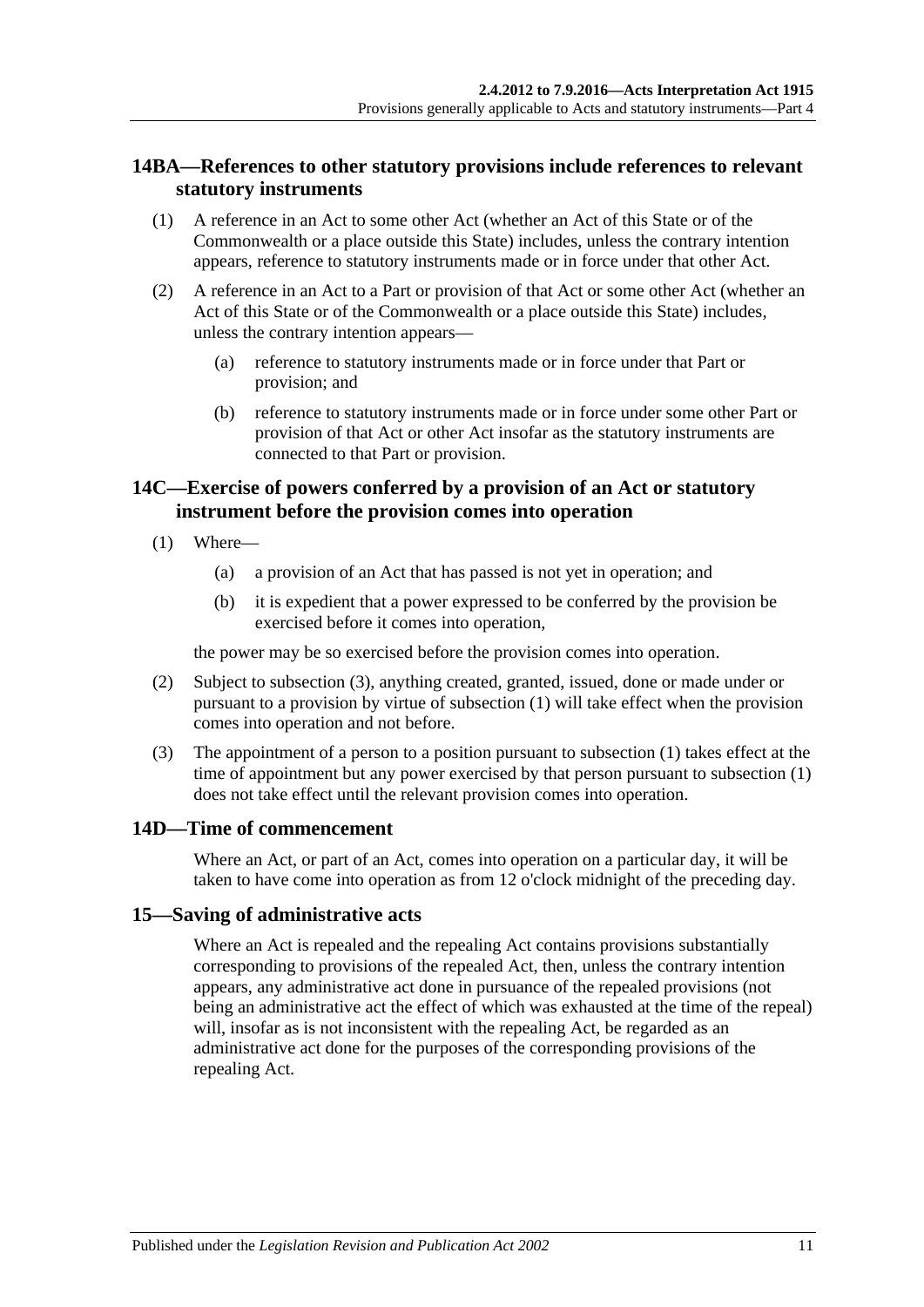### <span id="page-10-0"></span>**14BA—References to other statutory provisions include references to relevant statutory instruments**

- (1) A reference in an Act to some other Act (whether an Act of this State or of the Commonwealth or a place outside this State) includes, unless the contrary intention appears, reference to statutory instruments made or in force under that other Act.
- (2) A reference in an Act to a Part or provision of that Act or some other Act (whether an Act of this State or of the Commonwealth or a place outside this State) includes, unless the contrary intention appears—
	- (a) reference to statutory instruments made or in force under that Part or provision; and
	- (b) reference to statutory instruments made or in force under some other Part or provision of that Act or other Act insofar as the statutory instruments are connected to that Part or provision.

# <span id="page-10-1"></span>**14C—Exercise of powers conferred by a provision of an Act or statutory instrument before the provision comes into operation**

- <span id="page-10-5"></span>(1) Where—
	- (a) a provision of an Act that has passed is not yet in operation; and
	- (b) it is expedient that a power expressed to be conferred by the provision be exercised before it comes into operation,

the power may be so exercised before the provision comes into operation.

- (2) Subject to [subsection](#page-10-4) (3), anything created, granted, issued, done or made under or pursuant to a provision by virtue of [subsection](#page-10-5) (1) will take effect when the provision comes into operation and not before.
- <span id="page-10-4"></span>(3) The appointment of a person to a position pursuant to [subsection](#page-10-5) (1) takes effect at the time of appointment but any power exercised by that person pursuant to [subsection](#page-10-5) (1) does not take effect until the relevant provision comes into operation.

#### <span id="page-10-2"></span>**14D—Time of commencement**

Where an Act, or part of an Act, comes into operation on a particular day, it will be taken to have come into operation as from 12 o'clock midnight of the preceding day.

#### <span id="page-10-3"></span>**15—Saving of administrative acts**

Where an Act is repealed and the repealing Act contains provisions substantially corresponding to provisions of the repealed Act, then, unless the contrary intention appears, any administrative act done in pursuance of the repealed provisions (not being an administrative act the effect of which was exhausted at the time of the repeal) will, insofar as is not inconsistent with the repealing Act, be regarded as an administrative act done for the purposes of the corresponding provisions of the repealing Act.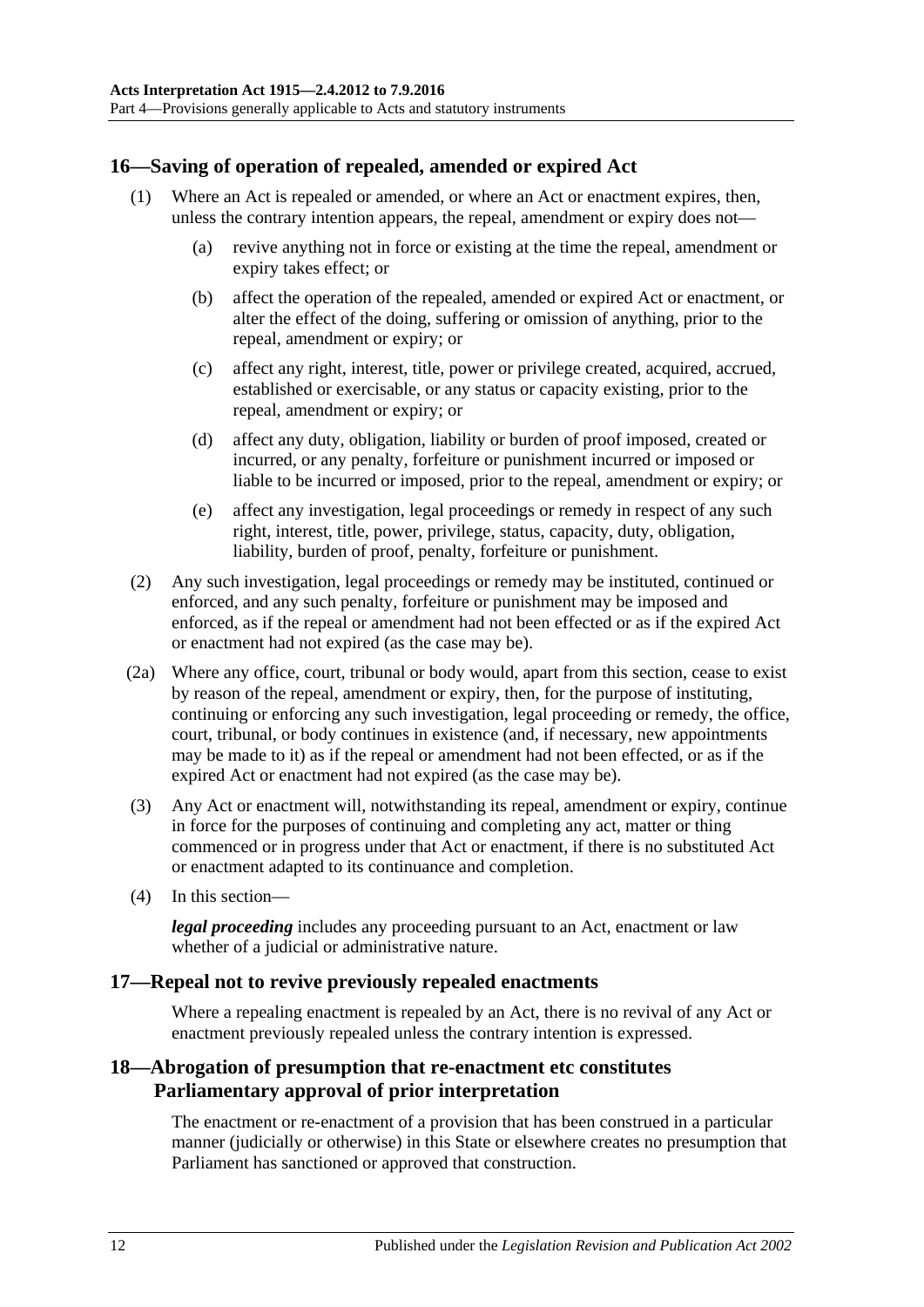# <span id="page-11-0"></span>**16—Saving of operation of repealed, amended or expired Act**

- (1) Where an Act is repealed or amended, or where an Act or enactment expires, then, unless the contrary intention appears, the repeal, amendment or expiry does not—
	- (a) revive anything not in force or existing at the time the repeal, amendment or expiry takes effect; or
	- (b) affect the operation of the repealed, amended or expired Act or enactment, or alter the effect of the doing, suffering or omission of anything, prior to the repeal, amendment or expiry; or
	- (c) affect any right, interest, title, power or privilege created, acquired, accrued, established or exercisable, or any status or capacity existing, prior to the repeal, amendment or expiry; or
	- (d) affect any duty, obligation, liability or burden of proof imposed, created or incurred, or any penalty, forfeiture or punishment incurred or imposed or liable to be incurred or imposed, prior to the repeal, amendment or expiry; or
	- (e) affect any investigation, legal proceedings or remedy in respect of any such right, interest, title, power, privilege, status, capacity, duty, obligation, liability, burden of proof, penalty, forfeiture or punishment.
- (2) Any such investigation, legal proceedings or remedy may be instituted, continued or enforced, and any such penalty, forfeiture or punishment may be imposed and enforced, as if the repeal or amendment had not been effected or as if the expired Act or enactment had not expired (as the case may be).
- (2a) Where any office, court, tribunal or body would, apart from this section, cease to exist by reason of the repeal, amendment or expiry, then, for the purpose of instituting, continuing or enforcing any such investigation, legal proceeding or remedy, the office, court, tribunal, or body continues in existence (and, if necessary, new appointments may be made to it) as if the repeal or amendment had not been effected, or as if the expired Act or enactment had not expired (as the case may be).
- (3) Any Act or enactment will, notwithstanding its repeal, amendment or expiry, continue in force for the purposes of continuing and completing any act, matter or thing commenced or in progress under that Act or enactment, if there is no substituted Act or enactment adapted to its continuance and completion.
- (4) In this section—

*legal proceeding* includes any proceeding pursuant to an Act, enactment or law whether of a judicial or administrative nature.

#### <span id="page-11-1"></span>**17—Repeal not to revive previously repealed enactments**

Where a repealing enactment is repealed by an Act, there is no revival of any Act or enactment previously repealed unless the contrary intention is expressed.

#### <span id="page-11-2"></span>**18—Abrogation of presumption that re-enactment etc constitutes Parliamentary approval of prior interpretation**

The enactment or re-enactment of a provision that has been construed in a particular manner (judicially or otherwise) in this State or elsewhere creates no presumption that Parliament has sanctioned or approved that construction.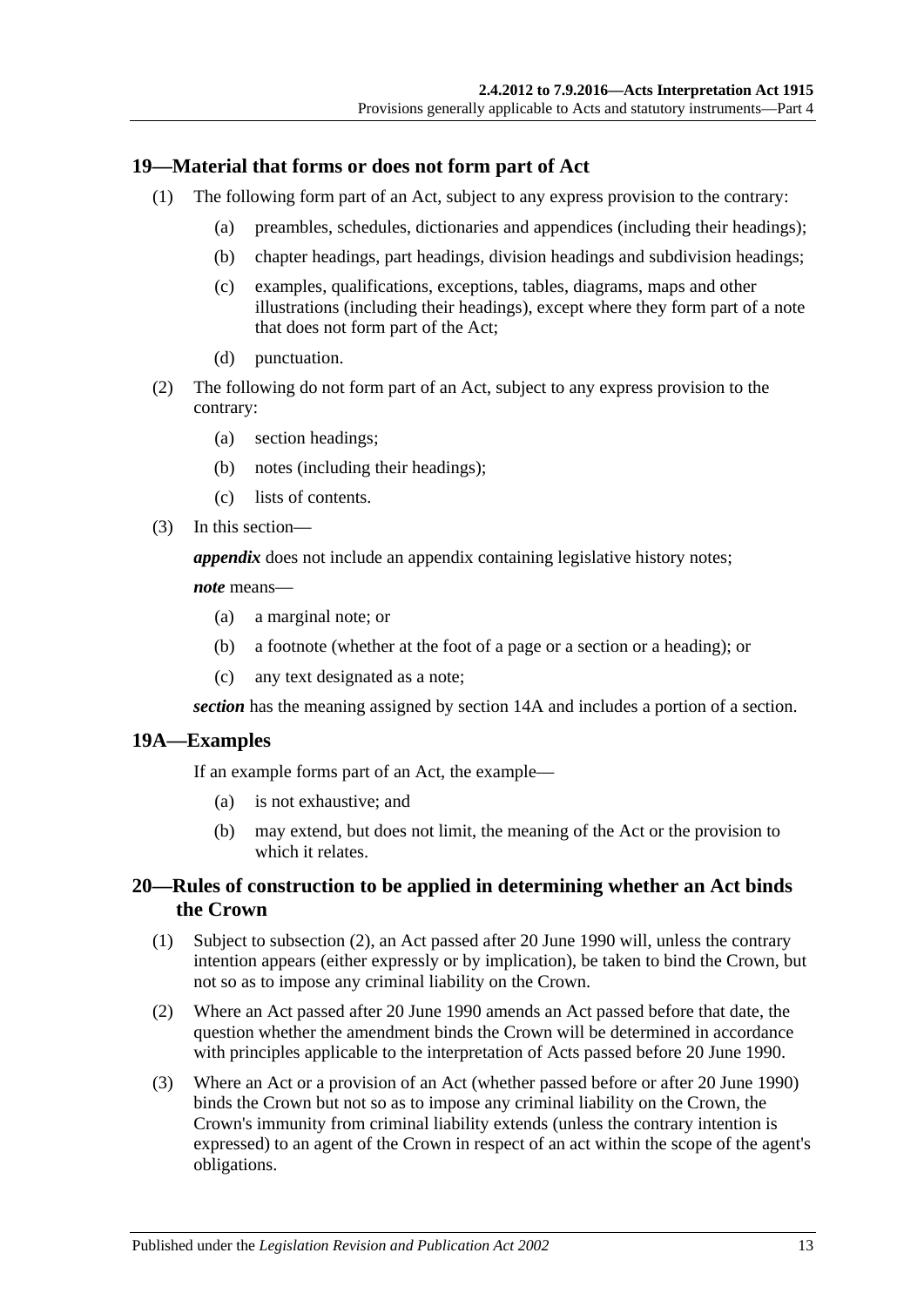### <span id="page-12-0"></span>**19—Material that forms or does not form part of Act**

- (1) The following form part of an Act, subject to any express provision to the contrary:
	- (a) preambles, schedules, dictionaries and appendices (including their headings);
	- (b) chapter headings, part headings, division headings and subdivision headings;
	- (c) examples, qualifications, exceptions, tables, diagrams, maps and other illustrations (including their headings), except where they form part of a note that does not form part of the Act;
	- (d) punctuation.
- (2) The following do not form part of an Act, subject to any express provision to the contrary:
	- (a) section headings;
	- (b) notes (including their headings);
	- (c) lists of contents.
- (3) In this section—

*appendix* does not include an appendix containing legislative history notes;

#### *note* means—

- (a) a marginal note; or
- (b) a footnote (whether at the foot of a page or a section or a heading); or
- (c) any text designated as a note;

*section* has the meaning assigned by [section](#page-9-1) 14A and includes a portion of a section.

#### <span id="page-12-1"></span>**19A—Examples**

If an example forms part of an Act, the example—

- (a) is not exhaustive; and
- (b) may extend, but does not limit, the meaning of the Act or the provision to which it relates.

### <span id="page-12-2"></span>**20—Rules of construction to be applied in determining whether an Act binds the Crown**

- (1) Subject to [subsection](#page-12-3) (2), an Act passed after 20 June 1990 will, unless the contrary intention appears (either expressly or by implication), be taken to bind the Crown, but not so as to impose any criminal liability on the Crown.
- <span id="page-12-3"></span>(2) Where an Act passed after 20 June 1990 amends an Act passed before that date, the question whether the amendment binds the Crown will be determined in accordance with principles applicable to the interpretation of Acts passed before 20 June 1990.
- (3) Where an Act or a provision of an Act (whether passed before or after 20 June 1990) binds the Crown but not so as to impose any criminal liability on the Crown, the Crown's immunity from criminal liability extends (unless the contrary intention is expressed) to an agent of the Crown in respect of an act within the scope of the agent's obligations.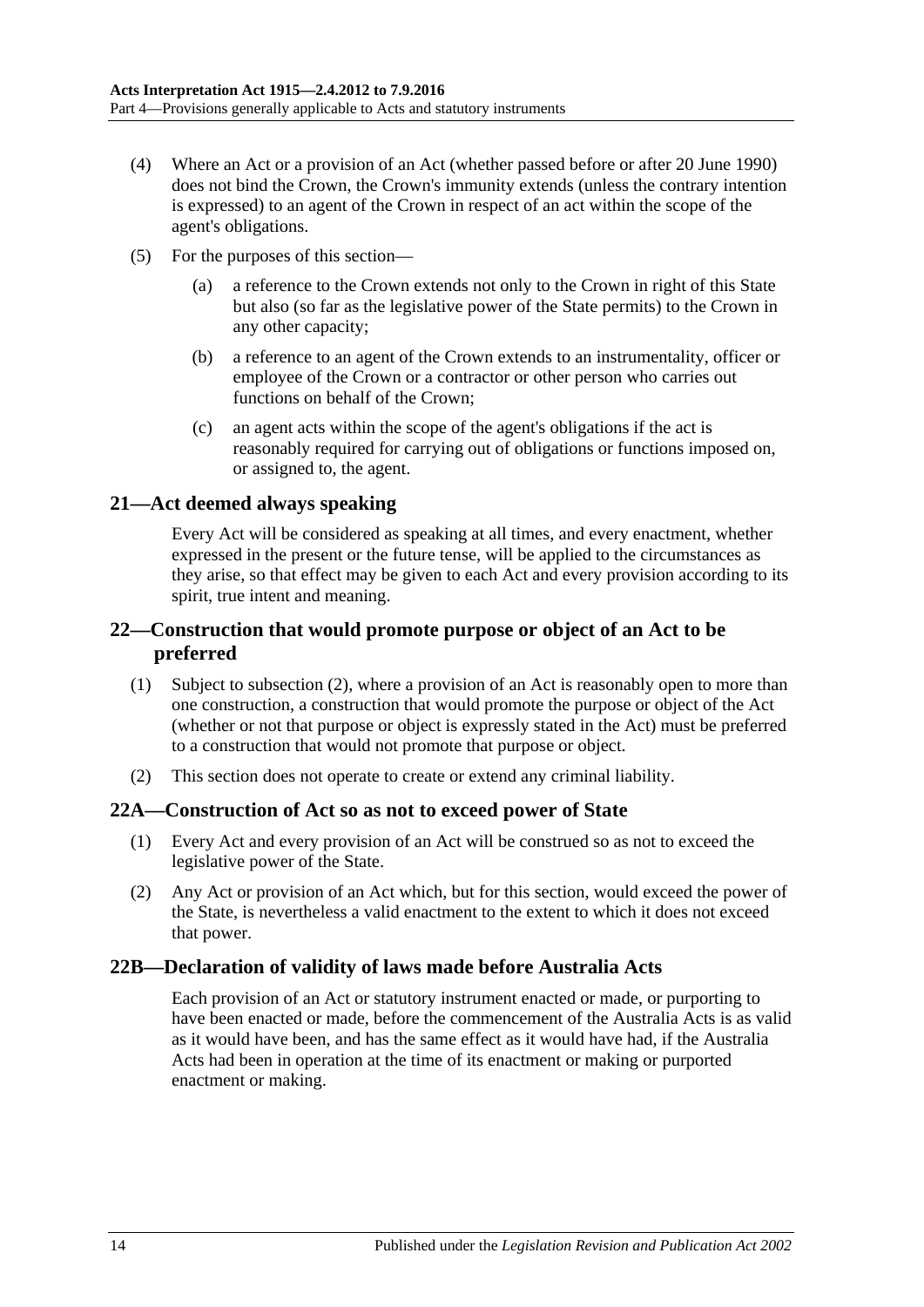- (4) Where an Act or a provision of an Act (whether passed before or after 20 June 1990) does not bind the Crown, the Crown's immunity extends (unless the contrary intention is expressed) to an agent of the Crown in respect of an act within the scope of the agent's obligations.
- (5) For the purposes of this section—
	- (a) a reference to the Crown extends not only to the Crown in right of this State but also (so far as the legislative power of the State permits) to the Crown in any other capacity;
	- (b) a reference to an agent of the Crown extends to an instrumentality, officer or employee of the Crown or a contractor or other person who carries out functions on behalf of the Crown;
	- (c) an agent acts within the scope of the agent's obligations if the act is reasonably required for carrying out of obligations or functions imposed on, or assigned to, the agent.

### <span id="page-13-0"></span>**21—Act deemed always speaking**

Every Act will be considered as speaking at all times, and every enactment, whether expressed in the present or the future tense, will be applied to the circumstances as they arise, so that effect may be given to each Act and every provision according to its spirit, true intent and meaning.

### <span id="page-13-1"></span>**22—Construction that would promote purpose or object of an Act to be preferred**

- (1) Subject to [subsection](#page-13-4) (2), where a provision of an Act is reasonably open to more than one construction, a construction that would promote the purpose or object of the Act (whether or not that purpose or object is expressly stated in the Act) must be preferred to a construction that would not promote that purpose or object.
- <span id="page-13-4"></span>(2) This section does not operate to create or extend any criminal liability.

#### <span id="page-13-2"></span>**22A—Construction of Act so as not to exceed power of State**

- (1) Every Act and every provision of an Act will be construed so as not to exceed the legislative power of the State.
- (2) Any Act or provision of an Act which, but for this section, would exceed the power of the State, is nevertheless a valid enactment to the extent to which it does not exceed that power.

# <span id="page-13-3"></span>**22B—Declaration of validity of laws made before Australia Acts**

Each provision of an Act or statutory instrument enacted or made, or purporting to have been enacted or made, before the commencement of the Australia Acts is as valid as it would have been, and has the same effect as it would have had, if the Australia Acts had been in operation at the time of its enactment or making or purported enactment or making.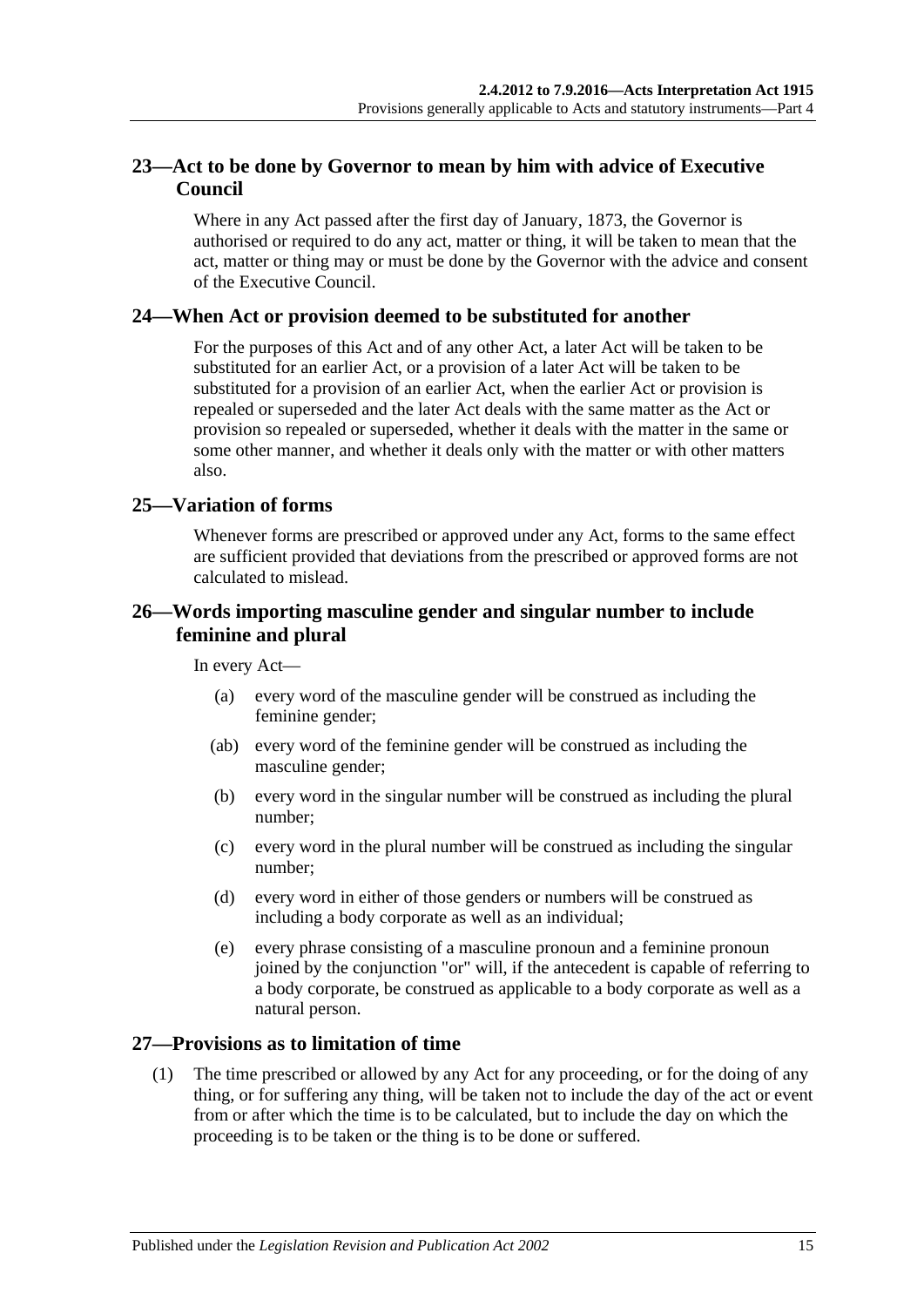# <span id="page-14-0"></span>**23—Act to be done by Governor to mean by him with advice of Executive Council**

Where in any Act passed after the first day of January, 1873, the Governor is authorised or required to do any act, matter or thing, it will be taken to mean that the act, matter or thing may or must be done by the Governor with the advice and consent of the Executive Council.

#### <span id="page-14-1"></span>**24—When Act or provision deemed to be substituted for another**

For the purposes of this Act and of any other Act, a later Act will be taken to be substituted for an earlier Act, or a provision of a later Act will be taken to be substituted for a provision of an earlier Act, when the earlier Act or provision is repealed or superseded and the later Act deals with the same matter as the Act or provision so repealed or superseded, whether it deals with the matter in the same or some other manner, and whether it deals only with the matter or with other matters also.

### <span id="page-14-2"></span>**25—Variation of forms**

Whenever forms are prescribed or approved under any Act, forms to the same effect are sufficient provided that deviations from the prescribed or approved forms are not calculated to mislead.

### <span id="page-14-3"></span>**26—Words importing masculine gender and singular number to include feminine and plural**

In every Act—

- (a) every word of the masculine gender will be construed as including the feminine gender;
- (ab) every word of the feminine gender will be construed as including the masculine gender;
- (b) every word in the singular number will be construed as including the plural number;
- (c) every word in the plural number will be construed as including the singular number;
- (d) every word in either of those genders or numbers will be construed as including a body corporate as well as an individual;
- (e) every phrase consisting of a masculine pronoun and a feminine pronoun joined by the conjunction "or" will, if the antecedent is capable of referring to a body corporate, be construed as applicable to a body corporate as well as a natural person.

#### <span id="page-14-4"></span>**27—Provisions as to limitation of time**

(1) The time prescribed or allowed by any Act for any proceeding, or for the doing of any thing, or for suffering any thing, will be taken not to include the day of the act or event from or after which the time is to be calculated, but to include the day on which the proceeding is to be taken or the thing is to be done or suffered.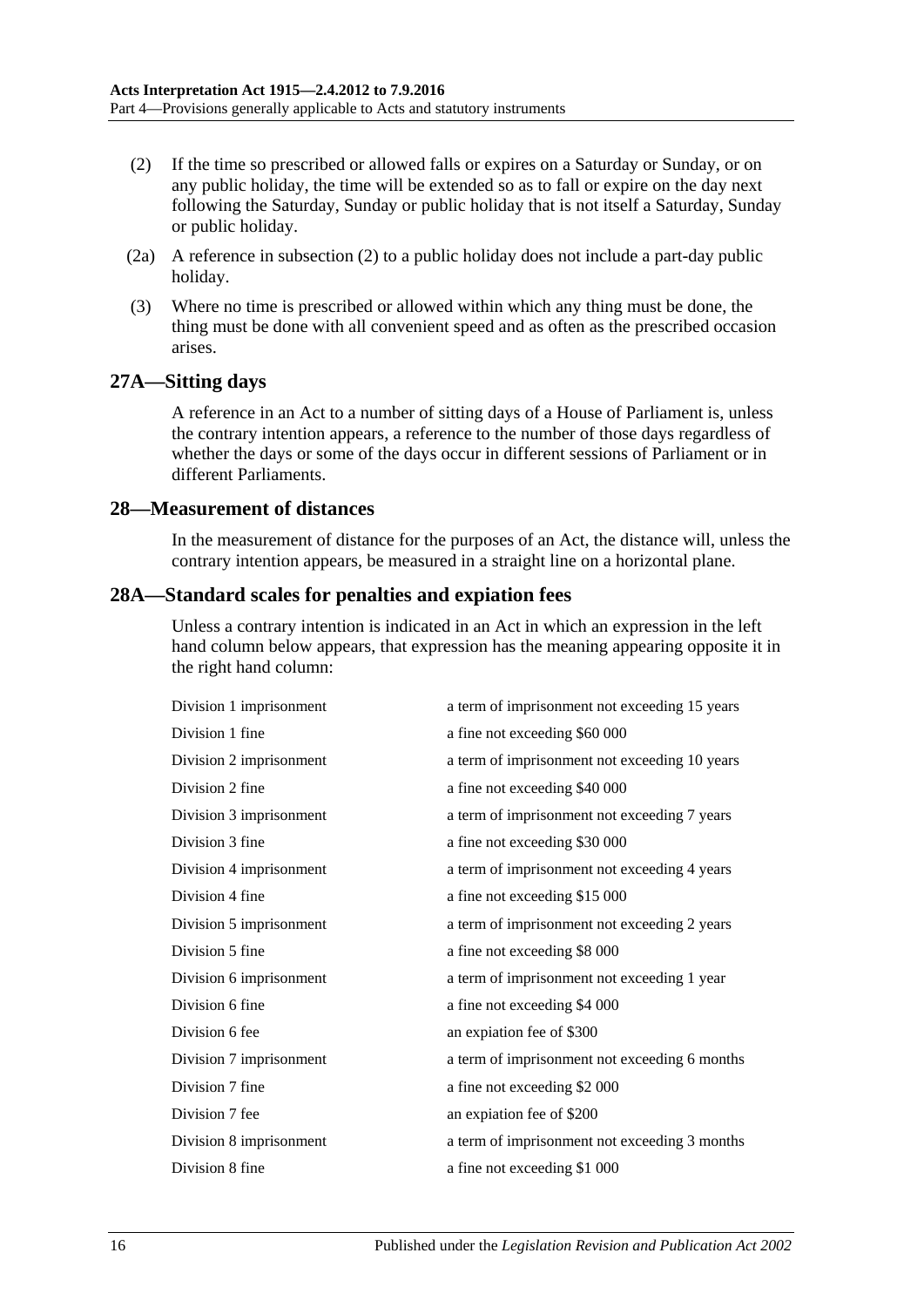- <span id="page-15-3"></span>(2) If the time so prescribed or allowed falls or expires on a Saturday or Sunday, or on any public holiday, the time will be extended so as to fall or expire on the day next following the Saturday, Sunday or public holiday that is not itself a Saturday, Sunday or public holiday.
- (2a) A reference in [subsection](#page-15-3) (2) to a public holiday does not include a part-day public holiday.
- (3) Where no time is prescribed or allowed within which any thing must be done, the thing must be done with all convenient speed and as often as the prescribed occasion arises.

#### <span id="page-15-0"></span>**27A—Sitting days**

A reference in an Act to a number of sitting days of a House of Parliament is, unless the contrary intention appears, a reference to the number of those days regardless of whether the days or some of the days occur in different sessions of Parliament or in different Parliaments.

#### <span id="page-15-1"></span>**28—Measurement of distances**

In the measurement of distance for the purposes of an Act, the distance will, unless the contrary intention appears, be measured in a straight line on a horizontal plane.

#### <span id="page-15-2"></span>**28A—Standard scales for penalties and expiation fees**

Unless a contrary intention is indicated in an Act in which an expression in the left hand column below appears, that expression has the meaning appearing opposite it in the right hand column:

| Division 1 imprisonment | a term of imprisonment not exceeding 15 years |
|-------------------------|-----------------------------------------------|
| Division 1 fine         | a fine not exceeding \$60 000                 |
| Division 2 imprisonment | a term of imprisonment not exceeding 10 years |
| Division 2 fine         | a fine not exceeding \$40 000                 |
| Division 3 imprisonment | a term of imprisonment not exceeding 7 years  |
| Division 3 fine         | a fine not exceeding \$30 000                 |
| Division 4 imprisonment | a term of imprisonment not exceeding 4 years  |
| Division 4 fine         | a fine not exceeding \$15 000                 |
| Division 5 imprisonment | a term of imprisonment not exceeding 2 years  |
| Division 5 fine         | a fine not exceeding \$8 000                  |
| Division 6 imprisonment | a term of imprisonment not exceeding 1 year   |
| Division 6 fine         | a fine not exceeding \$4 000                  |
| Division 6 fee          | an expiation fee of \$300                     |
| Division 7 imprisonment | a term of imprisonment not exceeding 6 months |
| Division 7 fine         | a fine not exceeding \$2 000                  |
| Division 7 fee          | an expiation fee of \$200                     |
| Division 8 imprisonment | a term of imprisonment not exceeding 3 months |
| Division 8 fine         | a fine not exceeding \$1 000                  |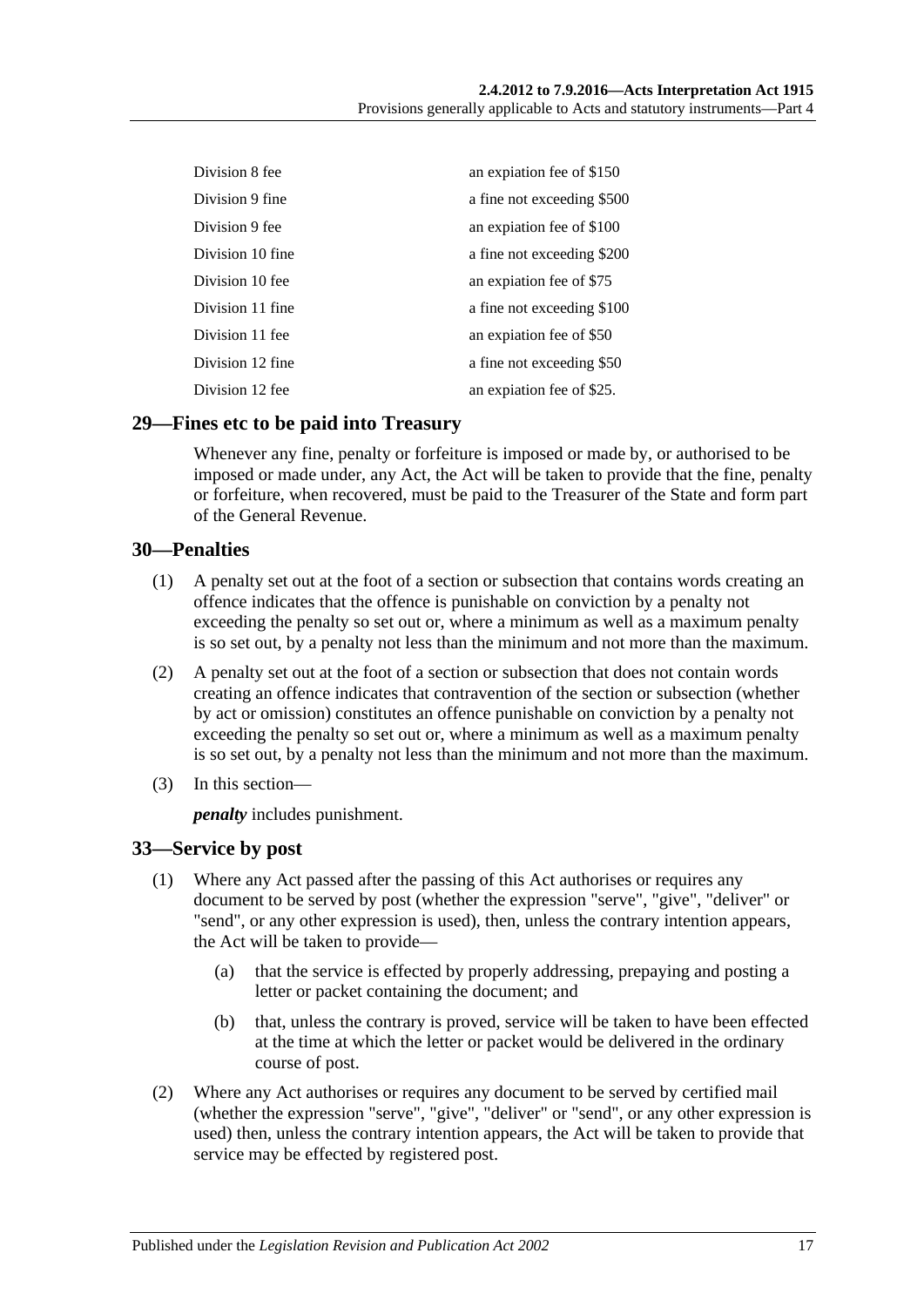| Division 8 fee   | an expiation fee of \$150  |
|------------------|----------------------------|
| Division 9 fine  | a fine not exceeding \$500 |
| Division 9 fee   | an expiation fee of \$100  |
| Division 10 fine | a fine not exceeding \$200 |
| Division 10 fee  | an expiation fee of \$75   |
| Division 11 fine | a fine not exceeding \$100 |
| Division 11 fee  | an expiation fee of \$50   |
| Division 12 fine | a fine not exceeding \$50  |
| Division 12 fee  | an expiation fee of \$25.  |

#### <span id="page-16-0"></span>**29—Fines etc to be paid into Treasury**

Whenever any fine, penalty or forfeiture is imposed or made by, or authorised to be imposed or made under, any Act, the Act will be taken to provide that the fine, penalty or forfeiture, when recovered, must be paid to the Treasurer of the State and form part of the General Revenue.

#### <span id="page-16-1"></span>**30—Penalties**

- (1) A penalty set out at the foot of a section or subsection that contains words creating an offence indicates that the offence is punishable on conviction by a penalty not exceeding the penalty so set out or, where a minimum as well as a maximum penalty is so set out, by a penalty not less than the minimum and not more than the maximum.
- (2) A penalty set out at the foot of a section or subsection that does not contain words creating an offence indicates that contravention of the section or subsection (whether by act or omission) constitutes an offence punishable on conviction by a penalty not exceeding the penalty so set out or, where a minimum as well as a maximum penalty is so set out, by a penalty not less than the minimum and not more than the maximum.
- (3) In this section—

*penalty* includes punishment.

#### <span id="page-16-2"></span>**33—Service by post**

- (1) Where any Act passed after the passing of this Act authorises or requires any document to be served by post (whether the expression "serve", "give", "deliver" or "send", or any other expression is used), then, unless the contrary intention appears, the Act will be taken to provide—
	- (a) that the service is effected by properly addressing, prepaying and posting a letter or packet containing the document; and
	- (b) that, unless the contrary is proved, service will be taken to have been effected at the time at which the letter or packet would be delivered in the ordinary course of post.
- (2) Where any Act authorises or requires any document to be served by certified mail (whether the expression "serve", "give", "deliver" or "send", or any other expression is used) then, unless the contrary intention appears, the Act will be taken to provide that service may be effected by registered post.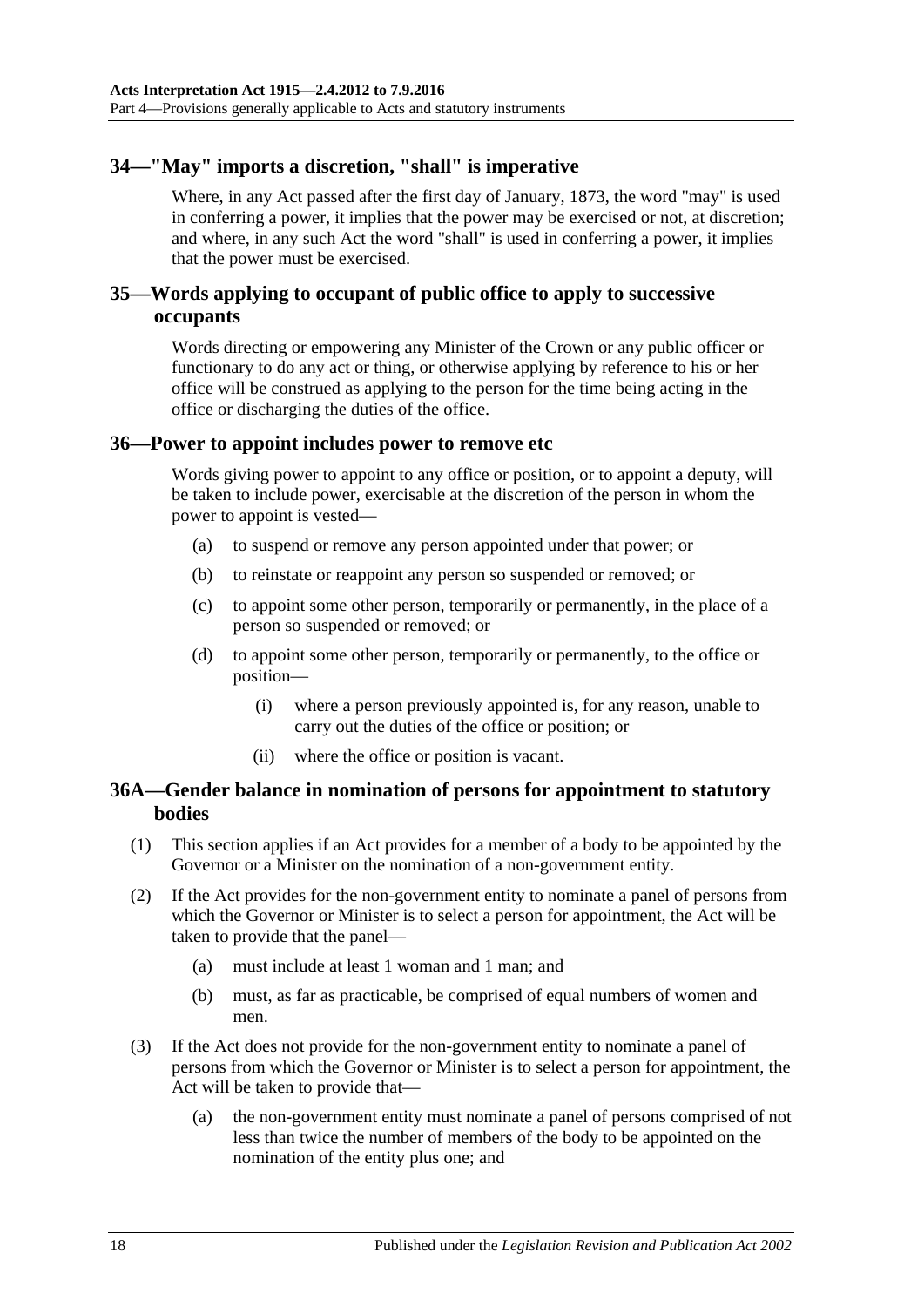# <span id="page-17-0"></span>**34—"May" imports a discretion, "shall" is imperative**

Where, in any Act passed after the first day of January, 1873, the word "may" is used in conferring a power, it implies that the power may be exercised or not, at discretion; and where, in any such Act the word "shall" is used in conferring a power, it implies that the power must be exercised.

### <span id="page-17-1"></span>**35—Words applying to occupant of public office to apply to successive occupants**

Words directing or empowering any Minister of the Crown or any public officer or functionary to do any act or thing, or otherwise applying by reference to his or her office will be construed as applying to the person for the time being acting in the office or discharging the duties of the office.

#### <span id="page-17-2"></span>**36—Power to appoint includes power to remove etc**

Words giving power to appoint to any office or position, or to appoint a deputy, will be taken to include power, exercisable at the discretion of the person in whom the power to appoint is vested—

- (a) to suspend or remove any person appointed under that power; or
- (b) to reinstate or reappoint any person so suspended or removed; or
- (c) to appoint some other person, temporarily or permanently, in the place of a person so suspended or removed; or
- (d) to appoint some other person, temporarily or permanently, to the office or position—
	- (i) where a person previously appointed is, for any reason, unable to carry out the duties of the office or position; or
	- (ii) where the office or position is vacant.

#### <span id="page-17-3"></span>**36A—Gender balance in nomination of persons for appointment to statutory bodies**

- (1) This section applies if an Act provides for a member of a body to be appointed by the Governor or a Minister on the nomination of a non-government entity.
- (2) If the Act provides for the non-government entity to nominate a panel of persons from which the Governor or Minister is to select a person for appointment, the Act will be taken to provide that the panel—
	- (a) must include at least 1 woman and 1 man; and
	- (b) must, as far as practicable, be comprised of equal numbers of women and men.
- (3) If the Act does not provide for the non-government entity to nominate a panel of persons from which the Governor or Minister is to select a person for appointment, the Act will be taken to provide that—
	- (a) the non-government entity must nominate a panel of persons comprised of not less than twice the number of members of the body to be appointed on the nomination of the entity plus one; and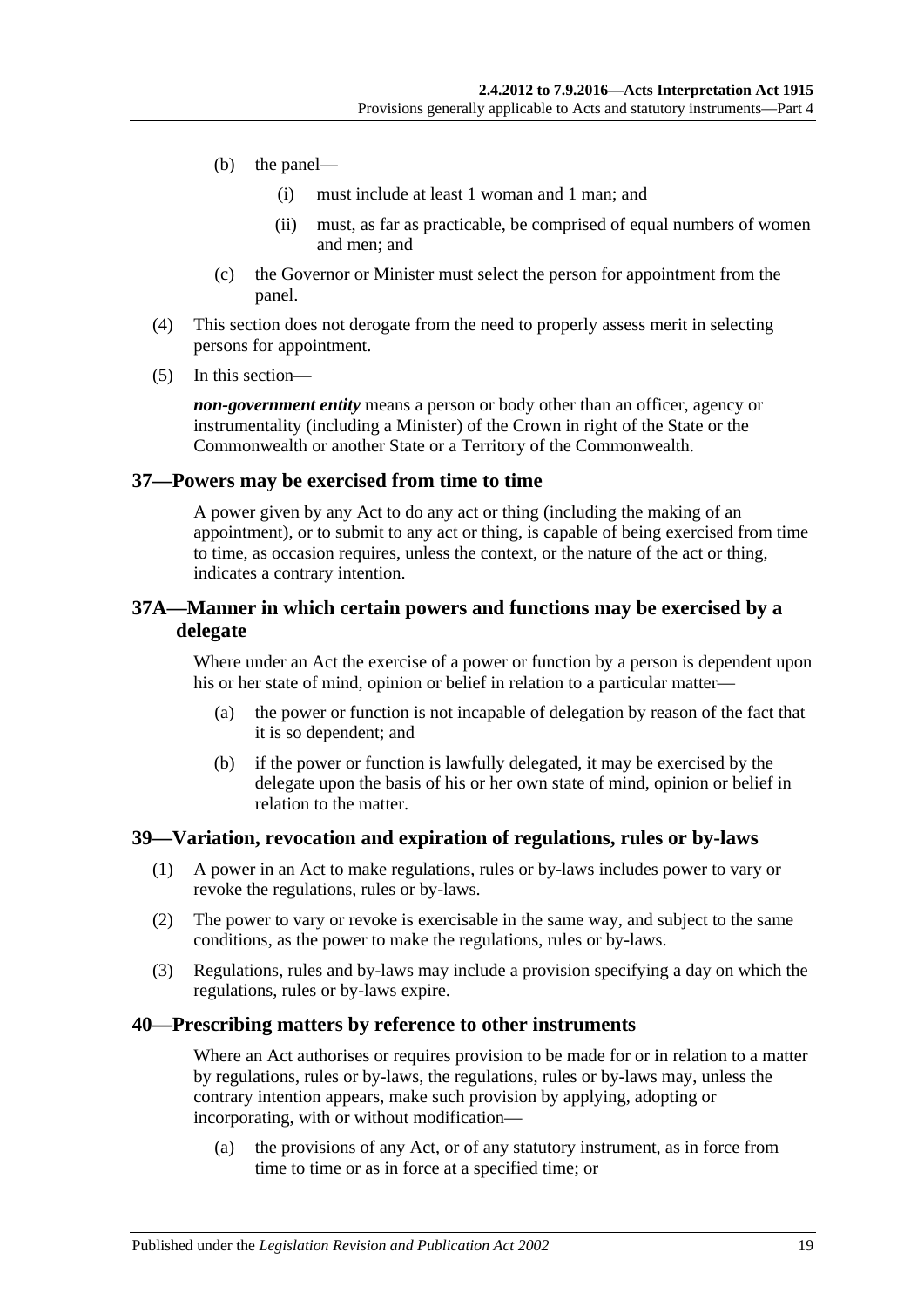- (b) the panel—
	- (i) must include at least 1 woman and 1 man; and
	- (ii) must, as far as practicable, be comprised of equal numbers of women and men; and
- (c) the Governor or Minister must select the person for appointment from the panel.
- (4) This section does not derogate from the need to properly assess merit in selecting persons for appointment.
- (5) In this section—

*non-government entity* means a person or body other than an officer, agency or instrumentality (including a Minister) of the Crown in right of the State or the Commonwealth or another State or a Territory of the Commonwealth.

#### <span id="page-18-0"></span>**37—Powers may be exercised from time to time**

A power given by any Act to do any act or thing (including the making of an appointment), or to submit to any act or thing, is capable of being exercised from time to time, as occasion requires, unless the context, or the nature of the act or thing, indicates a contrary intention.

#### <span id="page-18-1"></span>**37A—Manner in which certain powers and functions may be exercised by a delegate**

Where under an Act the exercise of a power or function by a person is dependent upon his or her state of mind, opinion or belief in relation to a particular matter—

- (a) the power or function is not incapable of delegation by reason of the fact that it is so dependent; and
- (b) if the power or function is lawfully delegated, it may be exercised by the delegate upon the basis of his or her own state of mind, opinion or belief in relation to the matter.

#### <span id="page-18-2"></span>**39—Variation, revocation and expiration of regulations, rules or by-laws**

- (1) A power in an Act to make regulations, rules or by-laws includes power to vary or revoke the regulations, rules or by-laws.
- (2) The power to vary or revoke is exercisable in the same way, and subject to the same conditions, as the power to make the regulations, rules or by-laws.
- (3) Regulations, rules and by-laws may include a provision specifying a day on which the regulations, rules or by-laws expire.

#### <span id="page-18-3"></span>**40—Prescribing matters by reference to other instruments**

Where an Act authorises or requires provision to be made for or in relation to a matter by regulations, rules or by-laws, the regulations, rules or by-laws may, unless the contrary intention appears, make such provision by applying, adopting or incorporating, with or without modification—

(a) the provisions of any Act, or of any statutory instrument, as in force from time to time or as in force at a specified time; or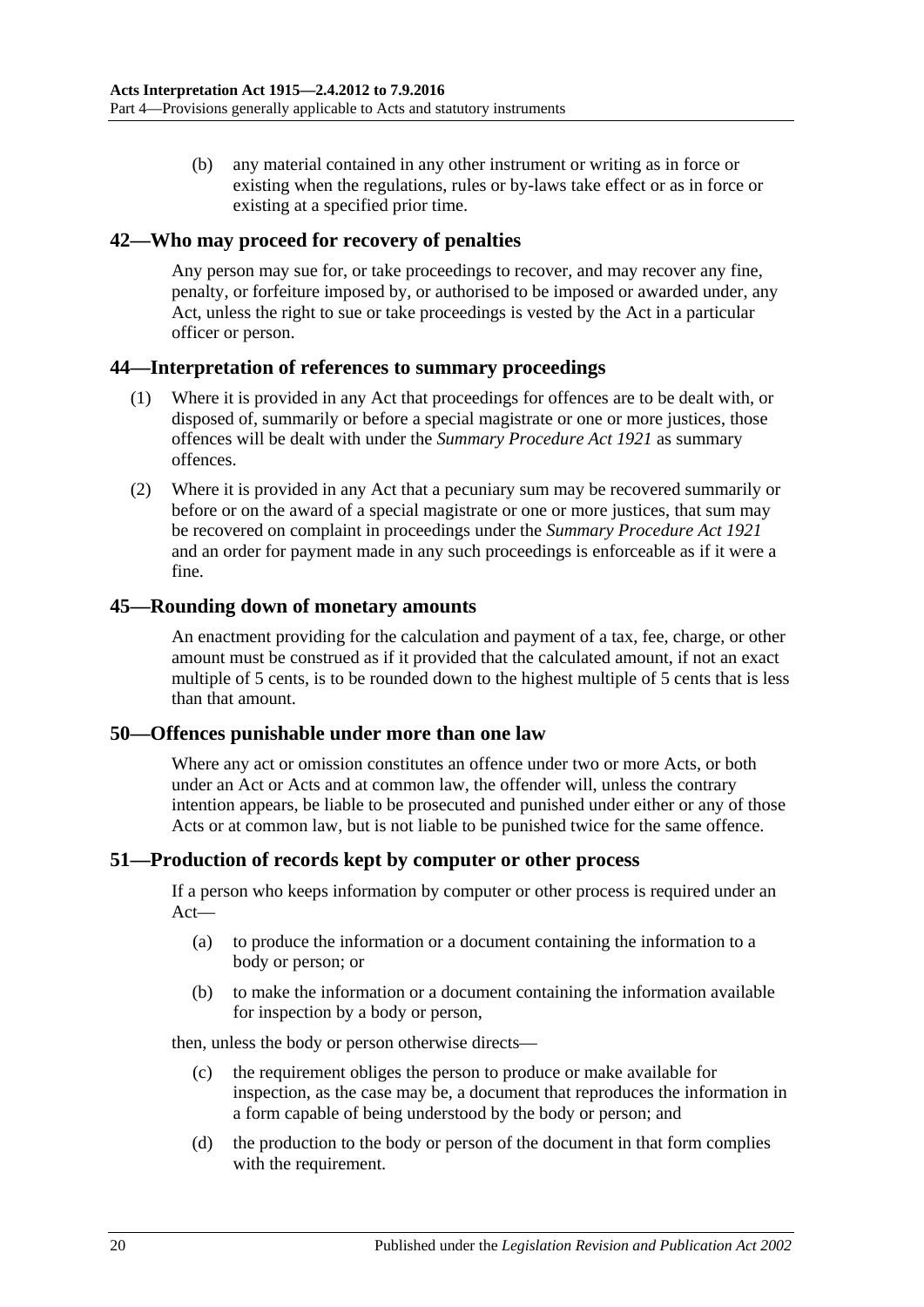(b) any material contained in any other instrument or writing as in force or existing when the regulations, rules or by-laws take effect or as in force or existing at a specified prior time.

#### <span id="page-19-0"></span>**42—Who may proceed for recovery of penalties**

Any person may sue for, or take proceedings to recover, and may recover any fine, penalty, or forfeiture imposed by, or authorised to be imposed or awarded under, any Act, unless the right to sue or take proceedings is vested by the Act in a particular officer or person.

#### <span id="page-19-1"></span>**44—Interpretation of references to summary proceedings**

- (1) Where it is provided in any Act that proceedings for offences are to be dealt with, or disposed of, summarily or before a special magistrate or one or more justices, those offences will be dealt with under the *[Summary Procedure Act](http://www.legislation.sa.gov.au/index.aspx?action=legref&type=act&legtitle=Summary%20Procedure%20Act%201921) 1921* as summary offences.
- (2) Where it is provided in any Act that a pecuniary sum may be recovered summarily or before or on the award of a special magistrate or one or more justices, that sum may be recovered on complaint in proceedings under the *[Summary Procedure Act](http://www.legislation.sa.gov.au/index.aspx?action=legref&type=act&legtitle=Summary%20Procedure%20Act%201921) 1921* and an order for payment made in any such proceedings is enforceable as if it were a fine.

#### <span id="page-19-2"></span>**45—Rounding down of monetary amounts**

An enactment providing for the calculation and payment of a tax, fee, charge, or other amount must be construed as if it provided that the calculated amount, if not an exact multiple of 5 cents, is to be rounded down to the highest multiple of 5 cents that is less than that amount.

#### <span id="page-19-3"></span>**50—Offences punishable under more than one law**

Where any act or omission constitutes an offence under two or more Acts, or both under an Act or Acts and at common law, the offender will, unless the contrary intention appears, be liable to be prosecuted and punished under either or any of those Acts or at common law, but is not liable to be punished twice for the same offence.

#### <span id="page-19-4"></span>**51—Production of records kept by computer or other process**

If a person who keeps information by computer or other process is required under an Act—

- (a) to produce the information or a document containing the information to a body or person; or
- (b) to make the information or a document containing the information available for inspection by a body or person,

then, unless the body or person otherwise directs—

- (c) the requirement obliges the person to produce or make available for inspection, as the case may be, a document that reproduces the information in a form capable of being understood by the body or person; and
- (d) the production to the body or person of the document in that form complies with the requirement.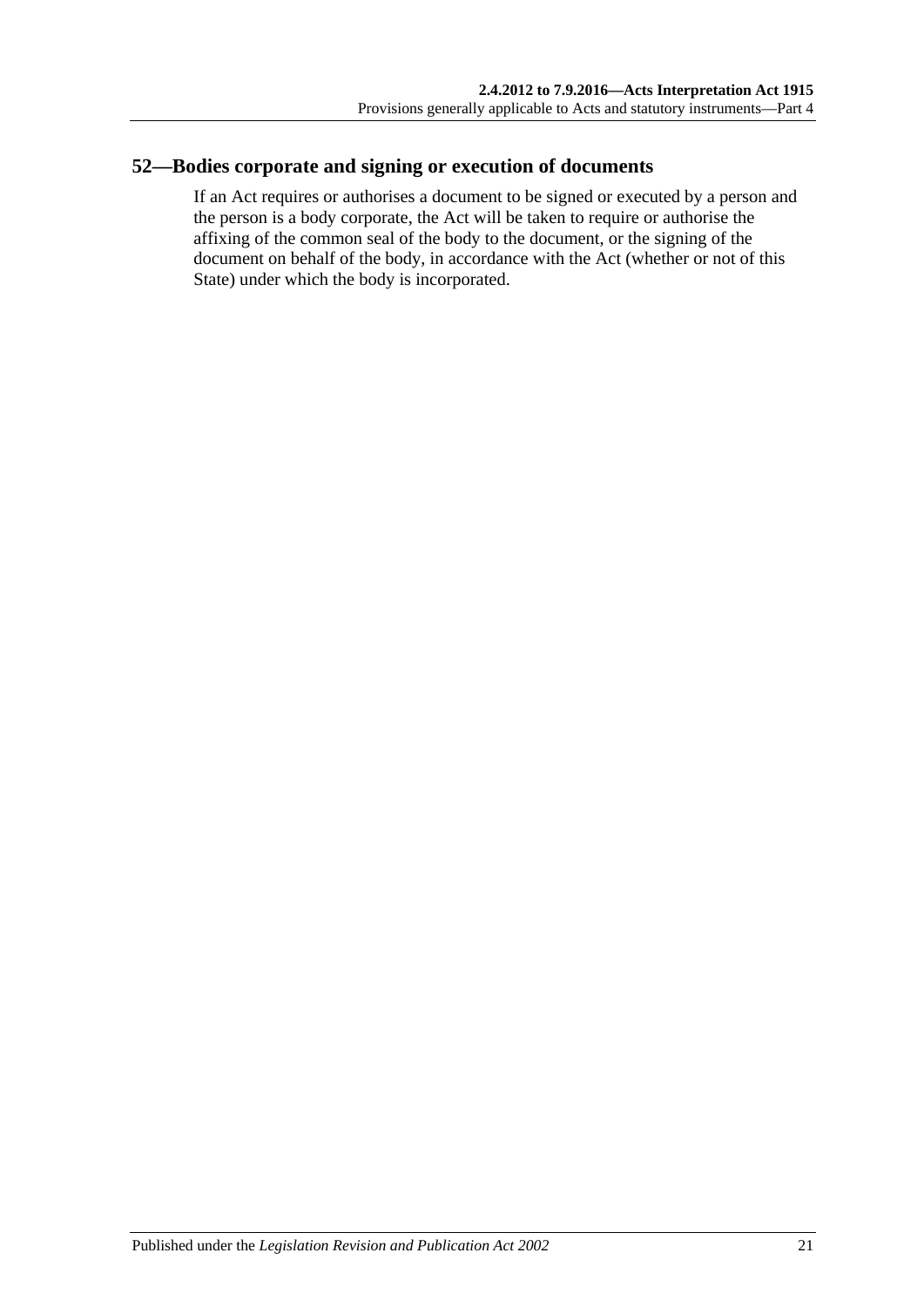# <span id="page-20-0"></span>**52—Bodies corporate and signing or execution of documents**

If an Act requires or authorises a document to be signed or executed by a person and the person is a body corporate, the Act will be taken to require or authorise the affixing of the common seal of the body to the document, or the signing of the document on behalf of the body, in accordance with the Act (whether or not of this State) under which the body is incorporated.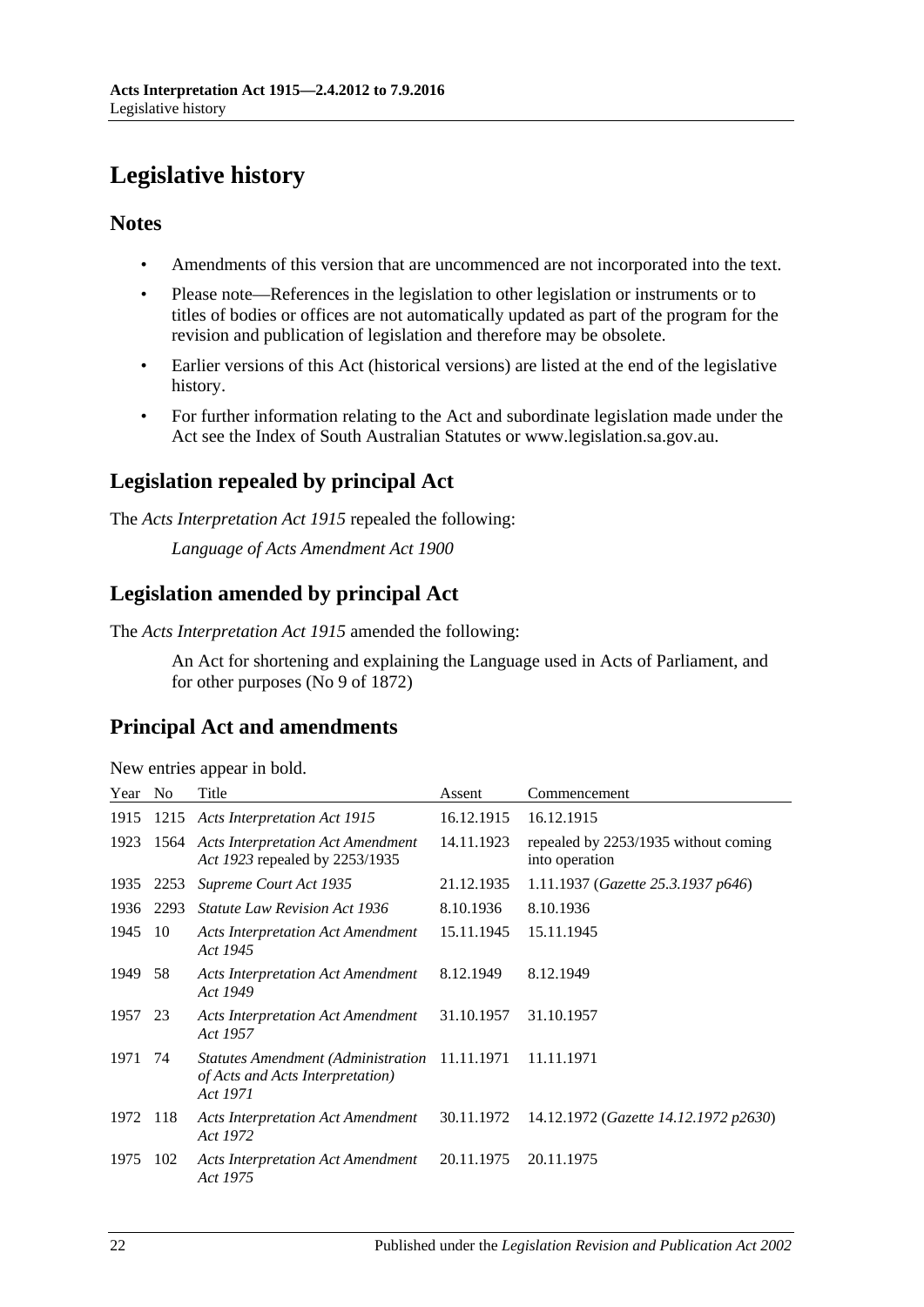# <span id="page-21-0"></span>**Legislative history**

# **Notes**

- Amendments of this version that are uncommenced are not incorporated into the text.
- Please note—References in the legislation to other legislation or instruments or to titles of bodies or offices are not automatically updated as part of the program for the revision and publication of legislation and therefore may be obsolete.
- Earlier versions of this Act (historical versions) are listed at the end of the legislative history.
- For further information relating to the Act and subordinate legislation made under the Act see the Index of South Australian Statutes or www.legislation.sa.gov.au.

# **Legislation repealed by principal Act**

The *Acts Interpretation Act 1915* repealed the following:

*Language of Acts Amendment Act 1900*

# **Legislation amended by principal Act**

The *Acts Interpretation Act 1915* amended the following:

An Act for shortening and explaining the Language used in Acts of Parliament, and for other purposes (No 9 of 1872)

# **Principal Act and amendments**

| Year    | N <sub>o</sub> | Title                                                                                         | Assent     | Commencement                                           |
|---------|----------------|-----------------------------------------------------------------------------------------------|------------|--------------------------------------------------------|
| 1915    |                | 1215 Acts Interpretation Act 1915                                                             | 16.12.1915 | 16.12.1915                                             |
| 1923    |                | 1564 Acts Interpretation Act Amendment<br>Act 1923 repealed by 2253/1935                      | 14.11.1923 | repealed by 2253/1935 without coming<br>into operation |
| 1935    | 2253           | Supreme Court Act 1935                                                                        | 21.12.1935 | 1.11.1937 (Gazette 25.3.1937 p646)                     |
| 1936    | 2293           | <b>Statute Law Revision Act 1936</b>                                                          | 8.10.1936  | 8.10.1936                                              |
| 1945    | -10            | <b>Acts Interpretation Act Amendment</b><br>Act 1945                                          | 15.11.1945 | 15.11.1945                                             |
| 1949    | 58             | <b>Acts Interpretation Act Amendment</b><br>Act 1949                                          | 8.12.1949  | 8.12.1949                                              |
| 1957 23 |                | <b>Acts Interpretation Act Amendment</b><br>Act 1957                                          | 31.10.1957 | 31.10.1957                                             |
| 1971    | 74             | Statutes Amendment (Administration 11.11.1971<br>of Acts and Acts Interpretation)<br>Act 1971 |            | 11.11.1971                                             |
| 1972    | 118            | <b>Acts Interpretation Act Amendment</b><br>Act 1972                                          | 30.11.1972 | 14.12.1972 (Gazette 14.12.1972 p2630)                  |
| 1975    | 102            | <b>Acts Interpretation Act Amendment</b><br>Act 1975                                          | 20.11.1975 | 20.11.1975                                             |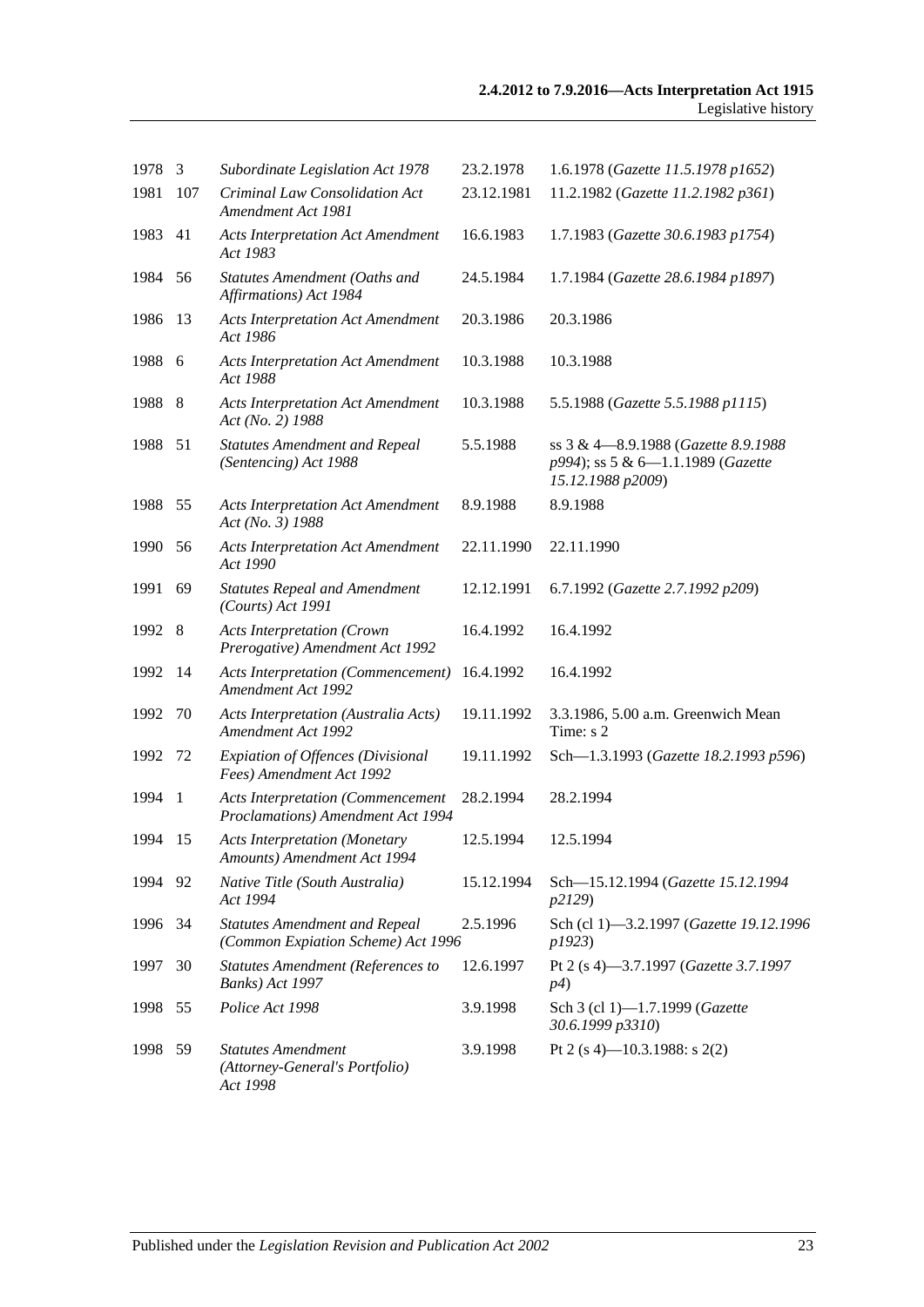| 1978   | 3            | Subordinate Legislation Act 1978                                              | 23.2.1978  | 1.6.1978 (Gazette 11.5.1978 p1652)                                                            |
|--------|--------------|-------------------------------------------------------------------------------|------------|-----------------------------------------------------------------------------------------------|
| 1981   | 107          | Criminal Law Consolidation Act<br>Amendment Act 1981                          | 23.12.1981 | 11.2.1982 (Gazette 11.2.1982 p361)                                                            |
| 1983   | 41           | <b>Acts Interpretation Act Amendment</b><br>Act 1983                          | 16.6.1983  | 1.7.1983 (Gazette 30.6.1983 p1754)                                                            |
| 1984   | 56           | Statutes Amendment (Oaths and<br>Affirmations) Act 1984                       | 24.5.1984  | 1.7.1984 (Gazette 28.6.1984 p1897)                                                            |
| 1986   | 13           | <b>Acts Interpretation Act Amendment</b><br>Act 1986                          | 20.3.1986  | 20.3.1986                                                                                     |
| 1988   | -6           | <b>Acts Interpretation Act Amendment</b><br>Act 1988                          | 10.3.1988  | 10.3.1988                                                                                     |
| 1988   | 8            | <b>Acts Interpretation Act Amendment</b><br>Act (No. 2) 1988                  | 10.3.1988  | 5.5.1988 (Gazette 5.5.1988 p1115)                                                             |
| 1988   | 51           | <b>Statutes Amendment and Repeal</b><br>(Sentencing) Act 1988                 | 5.5.1988   | ss 3 & 4-8.9.1988 (Gazette 8.9.1988<br>p994); ss 5 & 6-1.1.1989 (Gazette<br>15.12.1988 p2009) |
| 1988   | 55           | <b>Acts Interpretation Act Amendment</b><br>Act (No. 3) 1988                  | 8.9.1988   | 8.9.1988                                                                                      |
| 1990   | 56           | <b>Acts Interpretation Act Amendment</b><br>Act 1990                          | 22.11.1990 | 22.11.1990                                                                                    |
| 1991   | 69           | <b>Statutes Repeal and Amendment</b><br>$(Courts)$ Act 1991                   | 12.12.1991 | 6.7.1992 (Gazette 2.7.1992 p209)                                                              |
| 1992 8 |              | <b>Acts Interpretation (Crown</b><br>Prerogative) Amendment Act 1992          | 16.4.1992  | 16.4.1992                                                                                     |
| 1992   | 14           | <b>Acts Interpretation (Commencement)</b><br>Amendment Act 1992               | 16.4.1992  | 16.4.1992                                                                                     |
| 1992   | 70           | Acts Interpretation (Australia Acts)<br><b>Amendment Act 1992</b>             | 19.11.1992 | 3.3.1986, 5.00 a.m. Greenwich Mean<br>Time: s 2                                               |
| 1992   | 72           | Expiation of Offences (Divisional<br>Fees) Amendment Act 1992                 | 19.11.1992 | Sch-1.3.1993 (Gazette 18.2.1993 p596)                                                         |
| 1994   | $\mathbf{1}$ | <b>Acts Interpretation (Commencement</b><br>Proclamations) Amendment Act 1994 | 28.2.1994  | 28.2.1994                                                                                     |
| 1994   | 15           | <b>Acts Interpretation (Monetary</b><br>Amounts) Amendment Act 1994           | 12.5.1994  | 12.5.1994                                                                                     |
| 1994   | 92           | Native Title (South Australia)<br>Act 1994                                    | 15.12.1994 | Sch-15.12.1994 (Gazette 15.12.1994<br>p2129)                                                  |
| 1996   | 34           | <b>Statutes Amendment and Repeal</b><br>(Common Expiation Scheme) Act 1996    | 2.5.1996   | Sch (cl 1)-3.2.1997 (Gazette 19.12.1996<br>p1923)                                             |
| 1997   | 30           | <b>Statutes Amendment (References to</b><br>Banks) Act 1997                   | 12.6.1997  | Pt 2 (s 4)-3.7.1997 (Gazette 3.7.1997<br>p4)                                                  |
| 1998   | 55           | Police Act 1998                                                               | 3.9.1998   | Sch 3 (cl 1)-1.7.1999 (Gazette<br>30.6.1999 p3310)                                            |
| 1998   | 59           | <b>Statutes Amendment</b><br>(Attorney-General's Portfolio)<br>Act 1998       | 3.9.1998   | Pt 2 (s 4)-10.3.1988: s 2(2)                                                                  |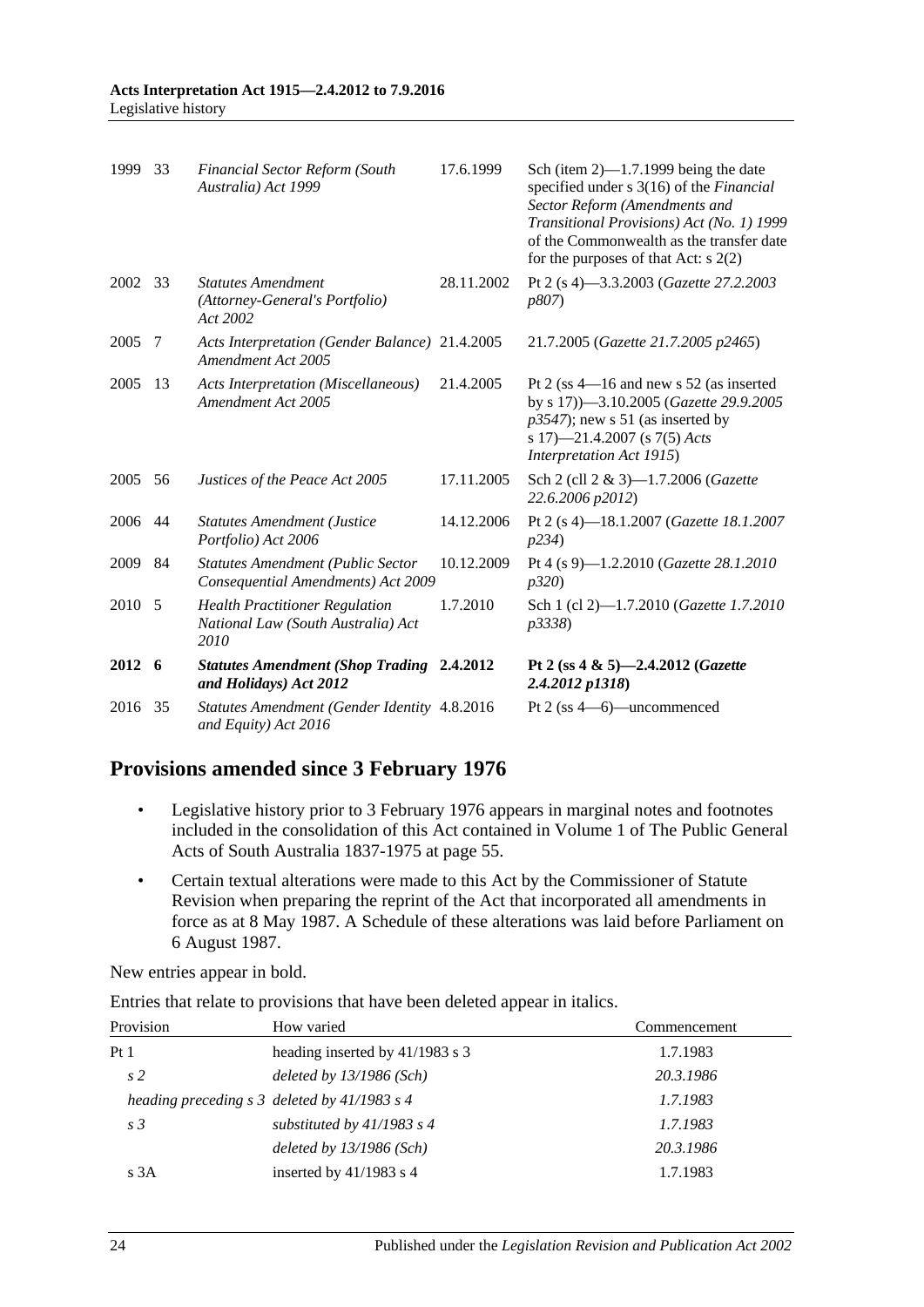| 1999   | 33  | <b>Financial Sector Reform (South</b><br>Australia) Act 1999                        | 17.6.1999  | Sch (item $2$ )—1.7.1999 being the date<br>specified under s 3(16) of the Financial<br>Sector Reform (Amendments and<br>Transitional Provisions) Act (No. 1) 1999<br>of the Commonwealth as the transfer date<br>for the purposes of that Act: $s$ 2(2) |
|--------|-----|-------------------------------------------------------------------------------------|------------|---------------------------------------------------------------------------------------------------------------------------------------------------------------------------------------------------------------------------------------------------------|
| 2002   | 33  | <b>Statutes Amendment</b><br>(Attorney-General's Portfolio)<br>Act 2002             | 28.11.2002 | Pt 2 (s 4)-3.3.2003 (Gazette 27.2.2003<br>p807)                                                                                                                                                                                                         |
| 2005   | 7   | Acts Interpretation (Gender Balance) 21.4.2005<br>Amendment Act 2005                |            | 21.7.2005 (Gazette 21.7.2005 p2465)                                                                                                                                                                                                                     |
| 2005   | 13  | <b>Acts Interpretation (Miscellaneous)</b><br>Amendment Act 2005                    | 21.4.2005  | Pt 2 (ss $4-16$ and new s 52 (as inserted<br>by s 17))-3.10.2005 (Gazette 29.9.2005<br>$p3547$ ; new s 51 (as inserted by<br>s 17)—21.4.2007 (s 7(5) Acts<br>Interpretation Act 1915)                                                                   |
| 2005   | 56  | Justices of the Peace Act 2005                                                      | 17.11.2005 | Sch 2 (cll 2 & 3)-1.7.2006 (Gazette<br>22.6.2006 p2012)                                                                                                                                                                                                 |
| 2006   | -44 | <b>Statutes Amendment (Justice</b><br>Portfolio) Act 2006                           | 14.12.2006 | Pt 2 (s 4)-18.1.2007 (Gazette 18.1.2007<br>p234)                                                                                                                                                                                                        |
| 2009   | 84  | <b>Statutes Amendment (Public Sector</b><br>Consequential Amendments) Act 2009      | 10.12.2009 | Pt 4 (s 9)-1.2.2010 (Gazette 28.1.2010<br>p320                                                                                                                                                                                                          |
| 2010 5 |     | <b>Health Practitioner Regulation</b><br>National Law (South Australia) Act<br>2010 | 1.7.2010   | Sch 1 (cl 2)-1.7.2010 (Gazette 1.7.2010<br>p3338)                                                                                                                                                                                                       |
| 2012 6 |     | <b>Statutes Amendment (Shop Trading 2.4.2012</b><br>and Holidays) Act 2012          |            | Pt 2 (ss 4 & 5)-2.4.2012 (Gazette<br>2.4.2012 p1318)                                                                                                                                                                                                    |
| 2016   | 35  | Statutes Amendment (Gender Identity 4.8.2016<br>and Equity) Act 2016                |            | Pt $2$ (ss $4-6$ )—uncommenced                                                                                                                                                                                                                          |

# **Provisions amended since 3 February 1976**

- Legislative history prior to 3 February 1976 appears in marginal notes and footnotes included in the consolidation of this Act contained in Volume 1 of The Public General Acts of South Australia 1837-1975 at page 55.
- Certain textual alterations were made to this Act by the Commissioner of Statute Revision when preparing the reprint of the Act that incorporated all amendments in force as at 8 May 1987. A Schedule of these alterations was laid before Parliament on 6 August 1987.

New entries appear in bold.

Entries that relate to provisions that have been deleted appear in italics.

| Provision       | How varied                                             | Commencement |
|-----------------|--------------------------------------------------------|--------------|
| Pt <sub>1</sub> | heading inserted by 41/1983 s 3                        | 1.7.1983     |
| s <sub>2</sub>  | deleted by $13/1986$ (Sch)                             | 20.3.1986    |
|                 | heading preceding $s \, 3$ deleted by 41/1983 $s \, 4$ | 1.7.1983     |
| s <sub>3</sub>  | substituted by $41/1983$ s 4                           | 1.7.1983     |
|                 | deleted by $13/1986$ (Sch)                             | 20.3.1986    |
| s3A             | inserted by $41/1983$ s 4                              | 1.7.1983     |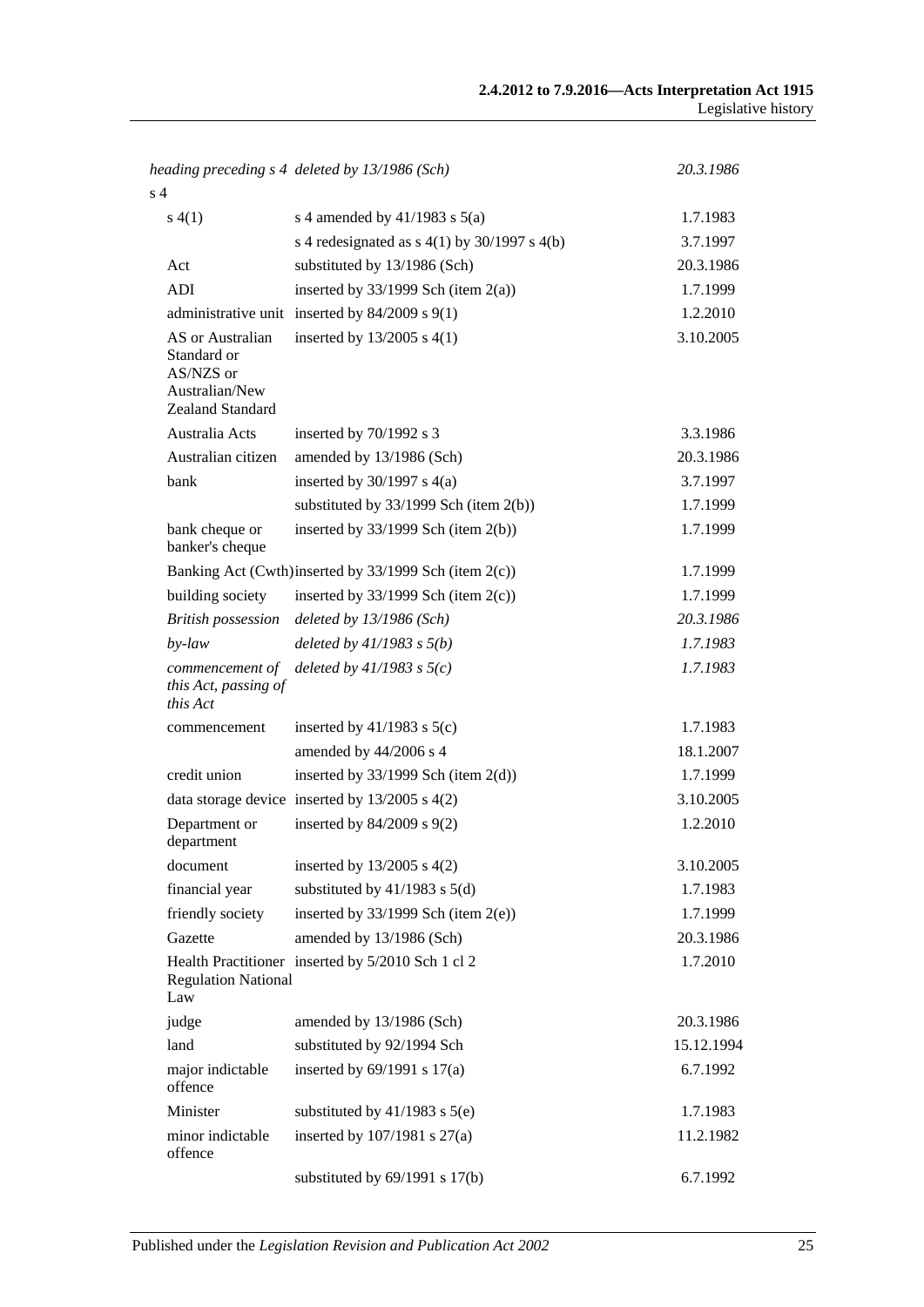|                                                                                    | heading preceding s 4 deleted by 13/1986 (Sch)        | 20.3.1986  |
|------------------------------------------------------------------------------------|-------------------------------------------------------|------------|
| s <sub>4</sub>                                                                     |                                                       |            |
| s(4(1))                                                                            | s 4 amended by $41/1983$ s $5(a)$                     | 1.7.1983   |
|                                                                                    | s 4 redesignated as $s$ 4(1) by 30/1997 s 4(b)        | 3.7.1997   |
| Act                                                                                | substituted by 13/1986 (Sch)                          | 20.3.1986  |
| ADI                                                                                | inserted by $33/1999$ Sch (item 2(a))                 | 1.7.1999   |
|                                                                                    | administrative unit inserted by $84/2009$ s $9(1)$    | 1.2.2010   |
| AS or Australian<br>Standard or<br>AS/NZS or<br>Australian/New<br>Zealand Standard | inserted by $13/2005$ s $4(1)$                        | 3.10.2005  |
| Australia Acts                                                                     | inserted by $70/1992$ s 3                             | 3.3.1986   |
| Australian citizen                                                                 | amended by 13/1986 (Sch)                              | 20.3.1986  |
| bank                                                                               | inserted by $30/1997$ s $4(a)$                        | 3.7.1997   |
|                                                                                    | substituted by $33/1999$ Sch (item 2(b))              | 1.7.1999   |
| bank cheque or<br>banker's cheque                                                  | inserted by $33/1999$ Sch (item 2(b))                 | 1.7.1999   |
|                                                                                    | Banking Act (Cwth)inserted by 33/1999 Sch (item 2(c)) | 1.7.1999   |
| building society                                                                   | inserted by $33/1999$ Sch (item 2(c))                 | 1.7.1999   |
| <b>British possession</b>                                                          | deleted by $13/1986$ (Sch)                            | 20.3.1986  |
| by-law                                                                             | deleted by $41/1983$ s $5(b)$                         | 1.7.1983   |
| commencement of<br>this Act, passing of<br>this Act                                | deleted by $41/1983$ s $5(c)$                         | 1.7.1983   |
| commencement                                                                       | inserted by $41/1983$ s $5(c)$                        | 1.7.1983   |
|                                                                                    | amended by 44/2006 s 4                                | 18.1.2007  |
| credit union                                                                       | inserted by $33/1999$ Sch (item $2(d)$ )              | 1.7.1999   |
|                                                                                    | data storage device inserted by $13/2005$ s $4(2)$    | 3.10.2005  |
| Department or<br>department                                                        | inserted by $84/2009$ s $9(2)$                        | 1.2.2010   |
| document                                                                           | inserted by $13/2005$ s $4(2)$                        | 3.10.2005  |
| financial year                                                                     | substituted by $41/1983$ s $5(d)$                     | 1.7.1983   |
| friendly society                                                                   | inserted by $33/1999$ Sch (item $2(e)$ )              | 1.7.1999   |
| Gazette                                                                            | amended by 13/1986 (Sch)                              | 20.3.1986  |
| <b>Regulation National</b><br>Law                                                  | Health Practitioner inserted by 5/2010 Sch 1 cl 2     | 1.7.2010   |
| judge                                                                              | amended by 13/1986 (Sch)                              | 20.3.1986  |
| land                                                                               | substituted by 92/1994 Sch                            | 15.12.1994 |
| major indictable<br>offence                                                        | inserted by $69/1991$ s $17(a)$                       | 6.7.1992   |
| Minister                                                                           | substituted by $41/1983$ s $5(e)$                     | 1.7.1983   |
| minor indictable<br>offence                                                        | inserted by $107/1981$ s $27(a)$                      | 11.2.1982  |
|                                                                                    | substituted by $69/1991$ s $17(b)$                    | 6.7.1992   |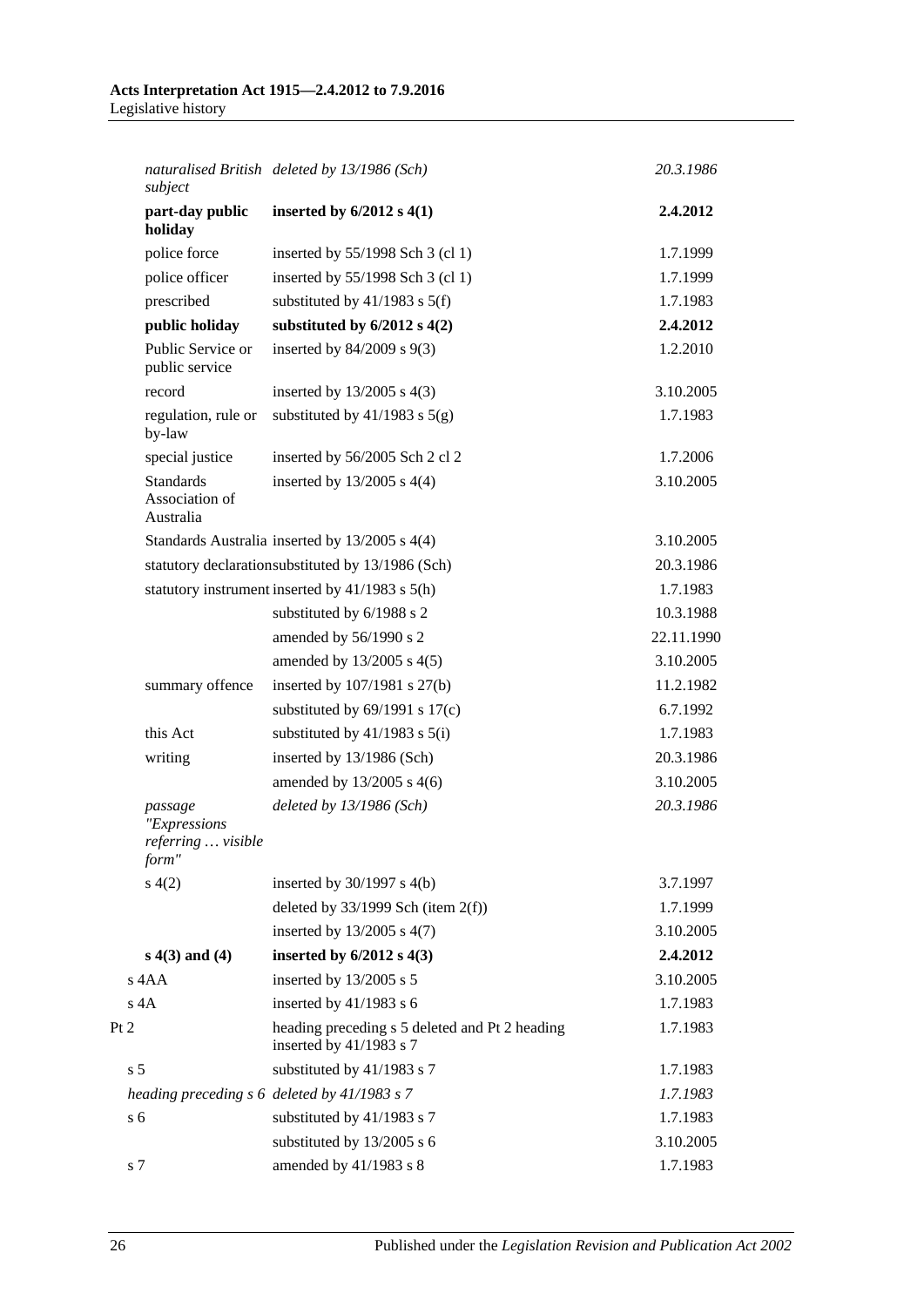*naturalised British subject deleted by 13/1986 (Sch) 20.3.1986*

| subject                                                |                                                                             |            |
|--------------------------------------------------------|-----------------------------------------------------------------------------|------------|
| part-day public<br>holiday                             | inserted by $6/2012$ s $4(1)$                                               | 2.4.2012   |
| police force                                           | inserted by 55/1998 Sch 3 (cl 1)                                            | 1.7.1999   |
| police officer                                         | inserted by 55/1998 Sch 3 (cl 1)                                            | 1.7.1999   |
| prescribed                                             | substituted by $41/1983$ s $5(f)$                                           | 1.7.1983   |
| public holiday                                         | substituted by $6/2012$ s $4(2)$                                            | 2.4.2012   |
| Public Service or<br>public service                    | inserted by $84/2009$ s $9(3)$                                              | 1.2.2010   |
| record                                                 | inserted by $13/2005$ s $4(3)$                                              | 3.10.2005  |
| regulation, rule or<br>by-law                          | substituted by $41/1983$ s $5(g)$                                           | 1.7.1983   |
| special justice                                        | inserted by 56/2005 Sch 2 cl 2                                              | 1.7.2006   |
| <b>Standards</b><br>Association of<br>Australia        | inserted by $13/2005$ s $4(4)$                                              | 3.10.2005  |
|                                                        | Standards Australia inserted by 13/2005 s 4(4)                              | 3.10.2005  |
|                                                        | statutory declarationsubstituted by 13/1986 (Sch)                           | 20.3.1986  |
|                                                        | statutory instrument inserted by 41/1983 s 5(h)                             | 1.7.1983   |
|                                                        | substituted by 6/1988 s 2                                                   | 10.3.1988  |
|                                                        | amended by 56/1990 s 2                                                      | 22.11.1990 |
|                                                        | amended by 13/2005 s 4(5)                                                   | 3.10.2005  |
| summary offence                                        | inserted by $107/1981$ s $27(b)$                                            | 11.2.1982  |
|                                                        | substituted by $69/1991$ s $17(c)$                                          | 6.7.1992   |
| this Act                                               | substituted by $41/1983$ s $5(i)$                                           | 1.7.1983   |
| writing                                                | inserted by 13/1986 (Sch)                                                   | 20.3.1986  |
|                                                        | amended by 13/2005 s 4(6)                                                   | 3.10.2005  |
| passage<br>"Expressions<br>referring  visible<br>form" | deleted by $13/1986$ (Sch)                                                  | 20.3.1986  |
| s(4(2)                                                 | inserted by $30/1997$ s $4(b)$                                              | 3.7.1997   |
|                                                        | deleted by $33/1999$ Sch (item $2(f)$ )                                     | 1.7.1999   |
|                                                        | inserted by 13/2005 s 4(7)                                                  | 3.10.2005  |
| $s(4(3)$ and $(4)$                                     | inserted by $6/2012$ s $4(3)$                                               | 2.4.2012   |
| s 4AA                                                  | inserted by 13/2005 s 5                                                     | 3.10.2005  |
| $s$ 4A                                                 | inserted by $41/1983$ s 6                                                   | 1.7.1983   |
|                                                        | heading preceding s 5 deleted and Pt 2 heading<br>inserted by $41/1983$ s 7 | 1.7.1983   |
| s <sub>5</sub>                                         | substituted by 41/1983 s 7                                                  | 1.7.1983   |
|                                                        | heading preceding s 6 deleted by 41/1983 s 7                                | 1.7.1983   |
| s <sub>6</sub>                                         | substituted by 41/1983 s 7                                                  | 1.7.1983   |
|                                                        | substituted by 13/2005 s 6                                                  | 3.10.2005  |
| s 7                                                    | amended by 41/1983 s 8                                                      | 1.7.1983   |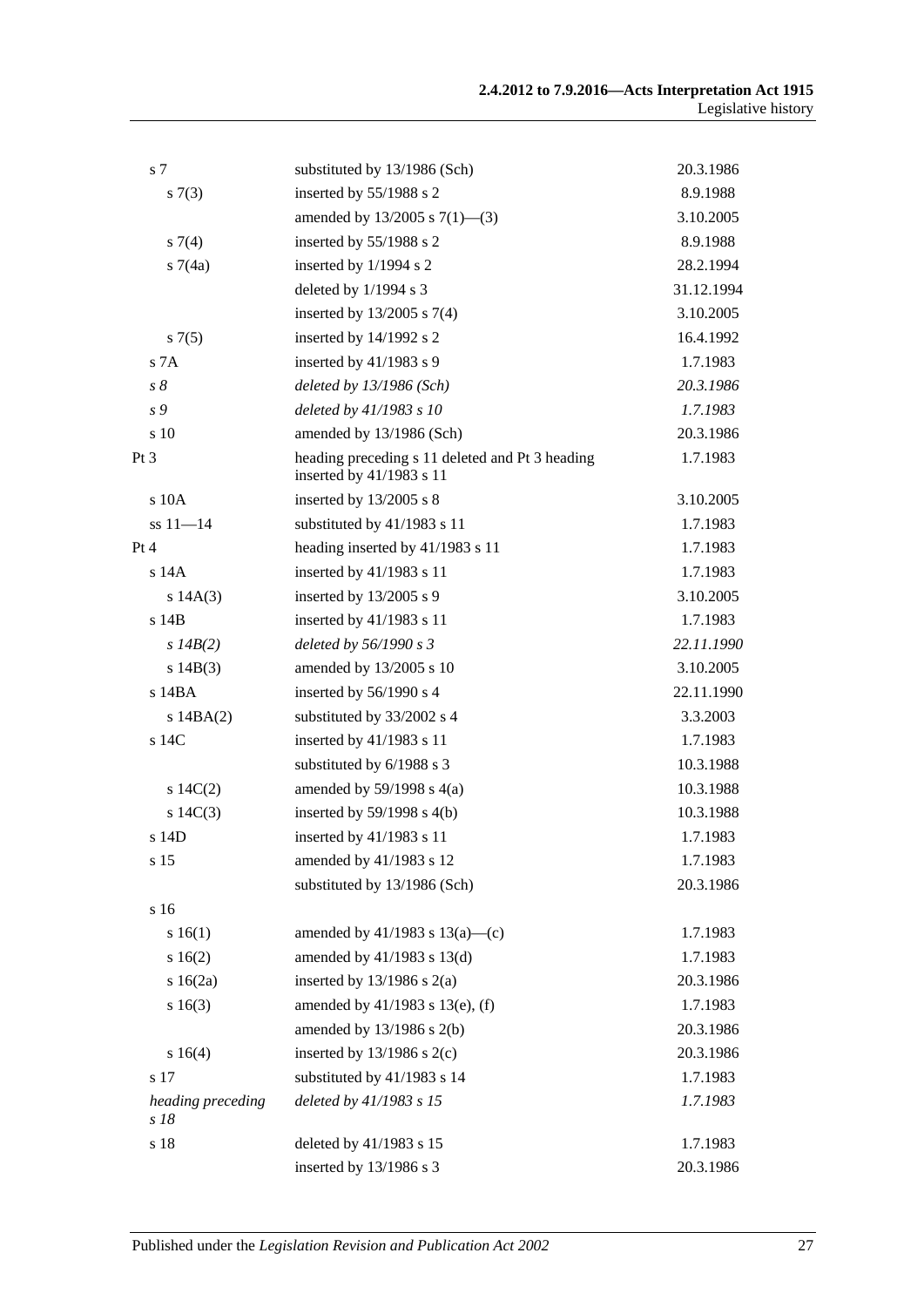| s 7                       | substituted by 13/1986 (Sch)                                                | 20.3.1986  |
|---------------------------|-----------------------------------------------------------------------------|------------|
| s(7(3))                   | inserted by 55/1988 s 2                                                     | 8.9.1988   |
|                           | amended by $13/2005$ s $7(1)$ —(3)                                          | 3.10.2005  |
| $s \, 7(4)$               | inserted by 55/1988 s 2                                                     | 8.9.1988   |
| s7(4a)                    | inserted by 1/1994 s 2                                                      | 28.2.1994  |
|                           | deleted by $1/1994$ s 3                                                     | 31.12.1994 |
|                           | inserted by $13/2005$ s $7(4)$                                              | 3.10.2005  |
| s7(5)                     | inserted by 14/1992 s 2                                                     | 16.4.1992  |
| S <sub>7A</sub>           | inserted by $41/1983$ s 9                                                   | 1.7.1983   |
| $s\delta$                 | deleted by $13/1986$ (Sch)                                                  | 20.3.1986  |
| s 9                       | deleted by 41/1983 s 10                                                     | 1.7.1983   |
| s 10                      | amended by 13/1986 (Sch)                                                    | 20.3.1986  |
| Pt 3                      | heading preceding s 11 deleted and Pt 3 heading<br>inserted by 41/1983 s 11 | 1.7.1983   |
| s 10A                     | inserted by $13/2005$ s 8                                                   | 3.10.2005  |
| $ss 11 - 14$              | substituted by 41/1983 s 11                                                 | 1.7.1983   |
| Pt 4                      | heading inserted by 41/1983 s 11                                            | 1.7.1983   |
| s 14A                     | inserted by 41/1983 s 11                                                    | 1.7.1983   |
| s 14A(3)                  | inserted by $13/2005$ s 9                                                   | 3.10.2005  |
| s 14B                     | inserted by 41/1983 s 11                                                    | 1.7.1983   |
| s $14B(2)$                | deleted by 56/1990 s 3                                                      | 22.11.1990 |
| s $14B(3)$                | amended by 13/2005 s 10                                                     | 3.10.2005  |
| s 14BA                    | inserted by 56/1990 s 4                                                     | 22.11.1990 |
| s $14BA(2)$               | substituted by 33/2002 s 4                                                  | 3.3.2003   |
| s 14C                     | inserted by 41/1983 s 11                                                    | 1.7.1983   |
|                           | substituted by 6/1988 s 3                                                   | 10.3.1988  |
| 14C(2)                    | amended by $59/1998$ s $4(a)$                                               | 10.3.1988  |
| s $14C(3)$                | inserted by $59/1998$ s $4(b)$                                              | 10.3.1988  |
| s 14D                     | inserted by 41/1983 s 11                                                    | 1.7.1983   |
| s 15                      | amended by 41/1983 s 12                                                     | 1.7.1983   |
|                           | substituted by 13/1986 (Sch)                                                | 20.3.1986  |
| s 16                      |                                                                             |            |
| s 16(1)                   | amended by $41/1983$ s $13(a)$ —(c)                                         | 1.7.1983   |
| s16(2)                    | amended by $41/1983$ s $13(d)$                                              | 1.7.1983   |
| s $16(2a)$                | inserted by $13/1986$ s $2(a)$                                              | 20.3.1986  |
| s16(3)                    | amended by 41/1983 s 13(e), (f)                                             | 1.7.1983   |
|                           | amended by $13/1986$ s $2(b)$                                               | 20.3.1986  |
| s 16(4)                   | inserted by $13/1986$ s $2(c)$                                              | 20.3.1986  |
| s 17                      | substituted by 41/1983 s 14                                                 | 1.7.1983   |
| heading preceding<br>s 18 | deleted by 41/1983 s 15                                                     | 1.7.1983   |
| s 18                      | deleted by 41/1983 s 15                                                     | 1.7.1983   |
|                           | inserted by $13/1986$ s 3                                                   | 20.3.1986  |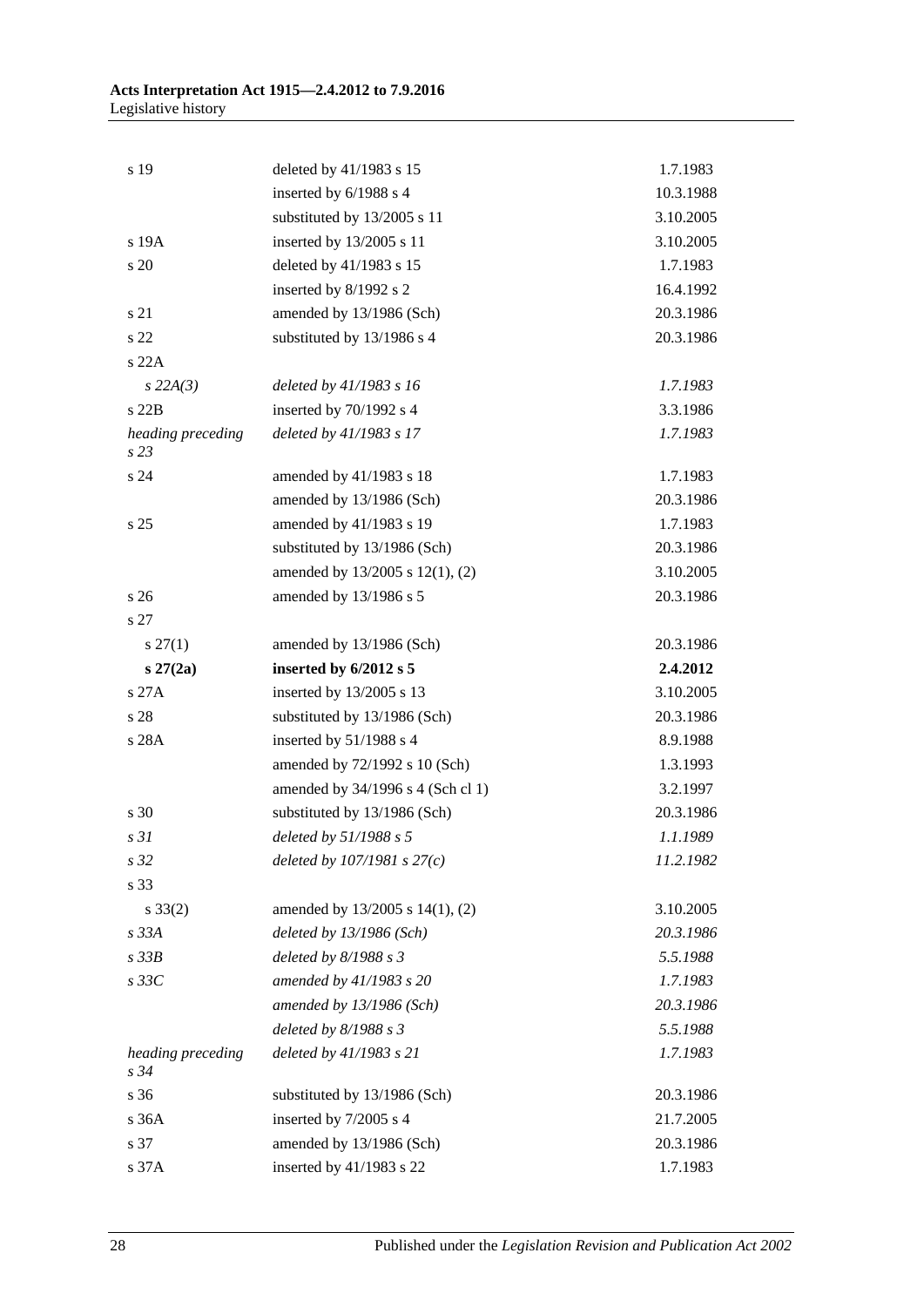| s 19                         | deleted by 41/1983 s 15           | 1.7.1983  |
|------------------------------|-----------------------------------|-----------|
|                              | inserted by 6/1988 s 4            | 10.3.1988 |
|                              | substituted by 13/2005 s 11       | 3.10.2005 |
| s 19A                        | inserted by 13/2005 s 11          | 3.10.2005 |
| s 20                         | deleted by 41/1983 s 15           | 1.7.1983  |
|                              | inserted by 8/1992 s 2            | 16.4.1992 |
| s 21                         | amended by 13/1986 (Sch)          | 20.3.1986 |
| s 22                         | substituted by 13/1986 s 4        | 20.3.1986 |
| s 22A                        |                                   |           |
| $s$ 22A(3)                   | deleted by 41/1983 s 16           | 1.7.1983  |
| s22B                         | inserted by 70/1992 s 4           | 3.3.1986  |
| heading preceding<br>s23     | deleted by 41/1983 s 17           | 1.7.1983  |
| s 24                         | amended by 41/1983 s 18           | 1.7.1983  |
|                              | amended by 13/1986 (Sch)          | 20.3.1986 |
| s <sub>25</sub>              | amended by 41/1983 s 19           | 1.7.1983  |
|                              | substituted by 13/1986 (Sch)      | 20.3.1986 |
|                              | amended by 13/2005 s 12(1), (2)   | 3.10.2005 |
| s <sub>26</sub>              | amended by 13/1986 s 5            | 20.3.1986 |
| s 27                         |                                   |           |
| $s\,27(1)$                   | amended by 13/1986 (Sch)          | 20.3.1986 |
| $s\,27(2a)$                  | inserted by 6/2012 s 5            | 2.4.2012  |
| s27A                         | inserted by 13/2005 s 13          | 3.10.2005 |
| s 28                         | substituted by 13/1986 (Sch)      | 20.3.1986 |
| s 28A                        | inserted by 51/1988 s 4           | 8.9.1988  |
|                              | amended by 72/1992 s 10 (Sch)     | 1.3.1993  |
|                              | amended by 34/1996 s 4 (Sch cl 1) | 3.2.1997  |
| s 30                         | substituted by 13/1986 (Sch)      | 20.3.1986 |
| s <sub>31</sub>              | deleted by 51/1988 s 5            | 1.1.1989  |
| s 32                         | deleted by $107/1981 s 27(c)$     | 11.2.1982 |
| s 33                         |                                   |           |
| $s \, 33(2)$                 | amended by 13/2005 s 14(1), (2)   | 3.10.2005 |
| $s$ 33 $A$                   | deleted by $13/1986$ (Sch)        | 20.3.1986 |
| $s$ 33 $B$                   | deleted by $8/1988 s 3$           | 5.5.1988  |
| $s\,33C$                     | amended by 41/1983 s 20           | 1.7.1983  |
|                              | amended by 13/1986 (Sch)          | 20.3.1986 |
|                              | deleted by $8/1988 s 3$           | 5.5.1988  |
| heading preceding<br>$s\,34$ | deleted by 41/1983 s 21           | 1.7.1983  |
| s 36                         | substituted by 13/1986 (Sch)      | 20.3.1986 |
| s 36A                        | inserted by 7/2005 s 4            | 21.7.2005 |
| s 37                         | amended by 13/1986 (Sch)          | 20.3.1986 |
| s 37A                        | inserted by 41/1983 s 22          | 1.7.1983  |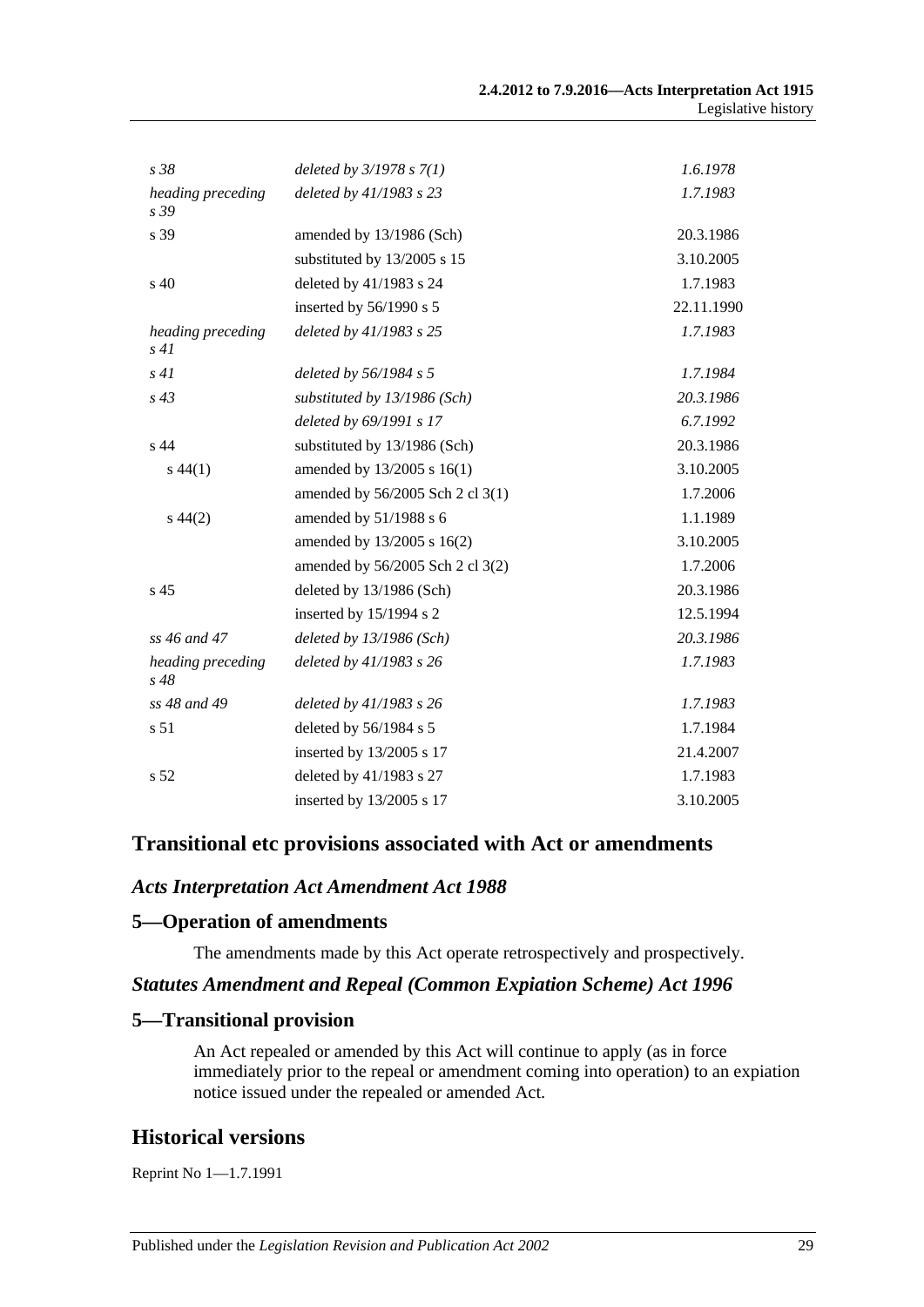| s 38                         | deleted by $3/1978 s 7(1)$       | 1.6.1978   |
|------------------------------|----------------------------------|------------|
| heading preceding<br>s 39    | deleted by 41/1983 s 23          | 1.7.1983   |
| s 39                         | amended by 13/1986 (Sch)         | 20.3.1986  |
|                              | substituted by 13/2005 s 15      | 3.10.2005  |
| s 40                         | deleted by 41/1983 s 24          | 1.7.1983   |
|                              | inserted by $56/1990$ s 5        | 22.11.1990 |
| heading preceding<br>s41     | deleted by 41/1983 s 25          | 1.7.1983   |
| s41                          | deleted by $56/1984$ s 5         | 1.7.1984   |
| $s\,43$                      | substituted by 13/1986 (Sch)     | 20.3.1986  |
|                              | deleted by 69/1991 s 17          | 6.7.1992   |
| s 44                         | substituted by 13/1986 (Sch)     | 20.3.1986  |
| $s\,44(1)$                   | amended by 13/2005 s 16(1)       | 3.10.2005  |
|                              | amended by 56/2005 Sch 2 cl 3(1) | 1.7.2006   |
| $s\,44(2)$                   | amended by 51/1988 s 6           | 1.1.1989   |
|                              | amended by 13/2005 s 16(2)       | 3.10.2005  |
|                              | amended by 56/2005 Sch 2 cl 3(2) | 1.7.2006   |
| s <sub>45</sub>              | deleted by 13/1986 (Sch)         | 20.3.1986  |
|                              | inserted by 15/1994 s 2          | 12.5.1994  |
| ss $46$ and $47$             | deleted by $13/1986$ (Sch)       | 20.3.1986  |
| heading preceding<br>$s\,48$ | deleted by 41/1983 s 26          | 1.7.1983   |
| ss 48 and 49                 | deleted by 41/1983 s 26          | 1.7.1983   |
| s 51                         | deleted by 56/1984 s 5           | 1.7.1984   |
|                              | inserted by 13/2005 s 17         | 21.4.2007  |
| s <sub>52</sub>              | deleted by 41/1983 s 27          | 1.7.1983   |
|                              | inserted by 13/2005 s 17         | 3.10.2005  |

#### **Transitional etc provisions associated with Act or amendments**

#### *Acts Interpretation Act Amendment Act 1988*

#### **5—Operation of amendments**

The amendments made by this Act operate retrospectively and prospectively.

#### *Statutes Amendment and Repeal (Common Expiation Scheme) Act 1996*

#### **5—Transitional provision**

An Act repealed or amended by this Act will continue to apply (as in force immediately prior to the repeal or amendment coming into operation) to an expiation notice issued under the repealed or amended Act.

# **Historical versions**

Reprint No 1—1.7.1991